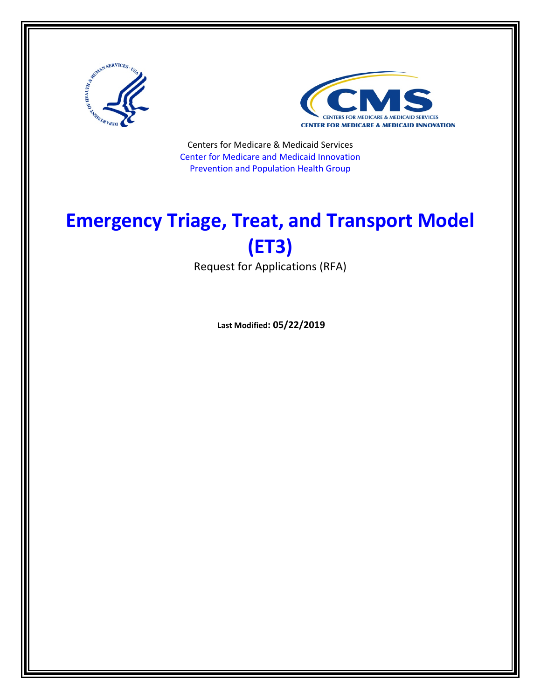



Centers for Medicare & Medicaid Services Center for Medicare and Medicaid Innovation Prevention and Population Health Group

# **Emergency Triage, Treat, and Transport Model (ET3)**

Request for Applications (RFA)

**Last Modified: 05/22/2019**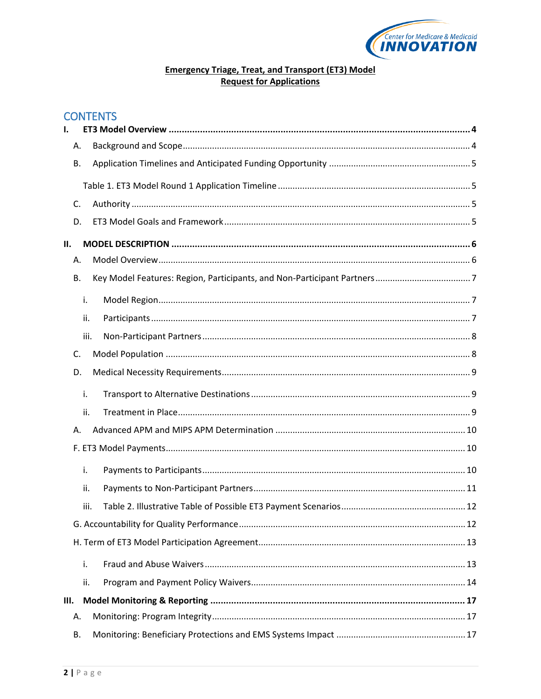

# **Emergency Triage, Treat, and Transport (ET3) Model Request for Applications**

# **CONTENTS**

| ı.   |           |  |
|------|-----------|--|
|      | А.        |  |
|      | В.        |  |
|      |           |  |
|      | C.        |  |
|      | D.        |  |
| II.  |           |  |
|      | А.        |  |
|      | <b>B.</b> |  |
|      | i.        |  |
|      | ii.       |  |
|      | iii.      |  |
|      | C.        |  |
|      | D.        |  |
|      | i.        |  |
|      | ii.       |  |
|      | А.        |  |
|      |           |  |
|      | i.        |  |
|      | ii.       |  |
|      | iii.      |  |
|      |           |  |
|      |           |  |
|      | i.        |  |
|      | ii.       |  |
| III. |           |  |
|      | Α.        |  |
|      | В.        |  |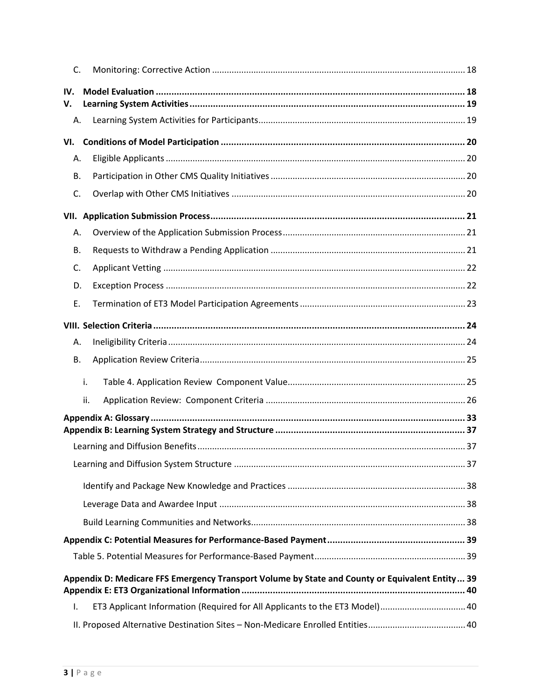| C.           |                                                                                                 |  |
|--------------|-------------------------------------------------------------------------------------------------|--|
| IV.<br>V.    |                                                                                                 |  |
| Α.           |                                                                                                 |  |
| VI.          |                                                                                                 |  |
| Α.           |                                                                                                 |  |
| В.           |                                                                                                 |  |
| C.           |                                                                                                 |  |
|              |                                                                                                 |  |
| А.           |                                                                                                 |  |
| В.           |                                                                                                 |  |
| C.           |                                                                                                 |  |
| D.           |                                                                                                 |  |
| Ε.           |                                                                                                 |  |
|              |                                                                                                 |  |
| А.           |                                                                                                 |  |
| В.           |                                                                                                 |  |
|              | i.                                                                                              |  |
|              | ii.                                                                                             |  |
|              |                                                                                                 |  |
|              |                                                                                                 |  |
|              |                                                                                                 |  |
|              |                                                                                                 |  |
|              |                                                                                                 |  |
|              |                                                                                                 |  |
|              |                                                                                                 |  |
|              |                                                                                                 |  |
|              |                                                                                                 |  |
|              | Appendix D: Medicare FFS Emergency Transport Volume by State and County or Equivalent Entity 39 |  |
|              |                                                                                                 |  |
| $\mathsf{L}$ | ET3 Applicant Information (Required for All Applicants to the ET3 Model) 40                     |  |
|              |                                                                                                 |  |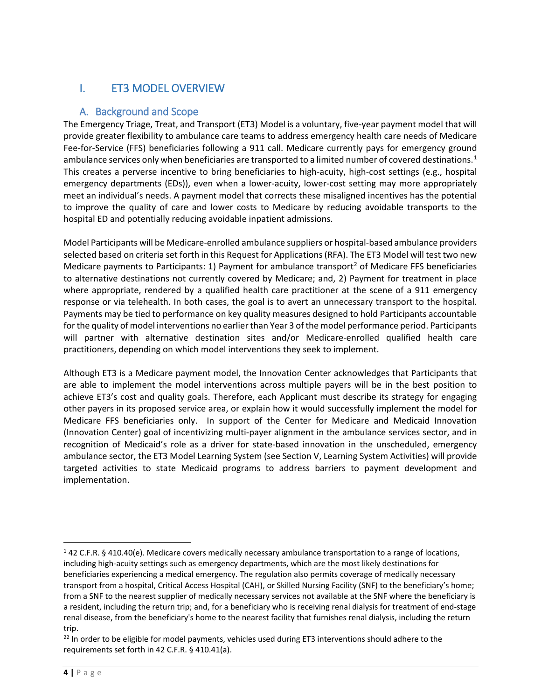# <span id="page-3-0"></span>I. ET3 MODEL OVERVIEW

### <span id="page-3-1"></span>A. Background and Scope

The Emergency Triage, Treat, and Transport (ET3) Model is a voluntary, five-year payment model that will provide greater flexibility to ambulance care teams to address emergency health care needs of Medicare Fee-for-Service (FFS) beneficiaries following a 911 call. Medicare currently pays for emergency ground ambulance services only when beneficiaries are transported to a limited number of covered destinations. [1](#page-3-2) This creates a perverse incentive to bring beneficiaries to high-acuity, high-cost settings (e.g., hospital emergency departments (EDs)), even when a lower-acuity, lower-cost setting may more appropriately meet an individual's needs. A payment model that corrects these misaligned incentives has the potential to improve the quality of care and lower costs to Medicare by reducing avoidable transports to the hospital ED and potentially reducing avoidable inpatient admissions.

Model Participants will be Medicare-enrolled ambulance suppliers or hospital-based ambulance providers selected based on criteria set forth in this Request for Applications (RFA). The ET3 Model will test two new Medicare payments to Participants: 1) Payment for ambulance transport<sup>[2](#page-3-3)</sup> of Medicare FFS beneficiaries to alternative destinations not currently covered by Medicare; and, 2) Payment for treatment in place where appropriate, rendered by a qualified health care practitioner at the scene of a 911 emergency response or via telehealth. In both cases, the goal is to avert an unnecessary transport to the hospital. Payments may be tied to performance on key quality measures designed to hold Participants accountable for the quality of model interventions no earlier than Year 3 of the model performance period. Participants will partner with alternative destination sites and/or Medicare-enrolled qualified health care practitioners, depending on which model interventions they seek to implement.

Although ET3 is a Medicare payment model, the Innovation Center acknowledges that Participants that are able to implement the model interventions across multiple payers will be in the best position to achieve ET3's cost and quality goals. Therefore, each Applicant must describe its strategy for engaging other payers in its proposed service area, or explain how it would successfully implement the model for Medicare FFS beneficiaries only. In support of the Center for Medicare and Medicaid Innovation (Innovation Center) goal of incentivizing multi-payer alignment in the ambulance services sector, and in recognition of Medicaid's role as a driver for state-based innovation in the unscheduled, emergency ambulance sector, the ET3 Model Learning System (see Section V, Learning System Activities) will provide targeted activities to state Medicaid programs to address barriers to payment development and implementation.

 $\overline{a}$ 

<span id="page-3-2"></span><sup>1</sup> 42 C.F.R. § 410.40(e). Medicare covers medically necessary ambulance transportation to a range of locations, including high-acuity settings such as emergency departments, which are the most likely destinations for beneficiaries experiencing a medical emergency. The regulation also permits coverage of medically necessary transport from a hospital, Critical Access Hospital (CAH), or Skilled Nursing Facility (SNF) to the beneficiary's home; from a SNF to the nearest supplier of medically necessary services not available at the SNF where the beneficiary is a resident, including the return trip; and, for a beneficiary who is receiving renal dialysis for treatment of end-stage renal disease, from the beneficiary's home to the nearest facility that furnishes renal dialysis, including the return trip.

<span id="page-3-3"></span><sup>&</sup>lt;sup>22</sup> In order to be eligible for model payments, vehicles used during ET3 interventions should adhere to the requirements set forth in 42 C.F.R. § 410.41(a).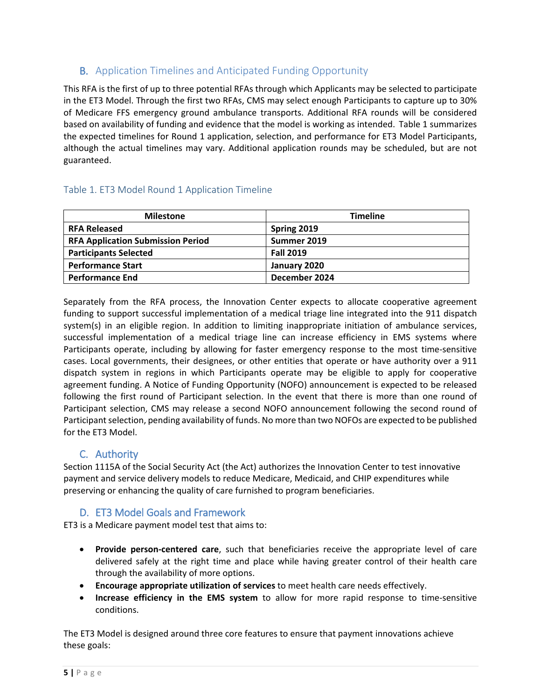# <span id="page-4-0"></span>B. Application Timelines and Anticipated Funding Opportunity

This RFA is the first of up to three potential RFAs through which Applicants may be selected to participate in the ET3 Model. Through the first two RFAs, CMS may select enough Participants to capture up to 30% of Medicare FFS emergency ground ambulance transports. Additional RFA rounds will be considered based on availability of funding and evidence that the model is working as intended. Table 1 summarizes the expected timelines for Round 1 application, selection, and performance for ET3 Model Participants, although the actual timelines may vary. Additional application rounds may be scheduled, but are not guaranteed.

# <span id="page-4-1"></span>Table 1. ET3 Model Round 1 Application Timeline

| <b>Milestone</b>                         | <b>Timeline</b>  |
|------------------------------------------|------------------|
| <b>RFA Released</b>                      | Spring 2019      |
| <b>RFA Application Submission Period</b> | Summer 2019      |
| <b>Participants Selected</b>             | <b>Fall 2019</b> |
| <b>Performance Start</b>                 | January 2020     |
| <b>Performance End</b>                   | December 2024    |

Separately from the RFA process, the Innovation Center expects to allocate cooperative agreement funding to support successful implementation of a medical triage line integrated into the 911 dispatch system(s) in an eligible region. In addition to limiting inappropriate initiation of ambulance services, successful implementation of a medical triage line can increase efficiency in EMS systems where Participants operate, including by allowing for faster emergency response to the most time-sensitive cases. Local governments, their designees, or other entities that operate or have authority over a 911 dispatch system in regions in which Participants operate may be eligible to apply for cooperative agreement funding. A Notice of Funding Opportunity (NOFO) announcement is expected to be released following the first round of Participant selection. In the event that there is more than one round of Participant selection, CMS may release a second NOFO announcement following the second round of Participant selection, pending availability of funds. No more than two NOFOs are expected to be published for the ET3 Model.

# <span id="page-4-2"></span>C. Authority

Section 1115A of the Social Security Act (the Act) authorizes the Innovation Center to test innovative payment and service delivery models to reduce Medicare, Medicaid, and CHIP expenditures while preserving or enhancing the quality of care furnished to program beneficiaries.

# <span id="page-4-3"></span>D. ET3 Model Goals and Framework

ET3 is a Medicare payment model test that aims to:

- **Provide person-centered care**, such that beneficiaries receive the appropriate level of care delivered safely at the right time and place while having greater control of their health care through the availability of more options.
- **Encourage appropriate utilization of services** to meet health care needs effectively.
- **Increase efficiency in the EMS system** to allow for more rapid response to time-sensitive conditions.

The ET3 Model is designed around three core features to ensure that payment innovations achieve these goals: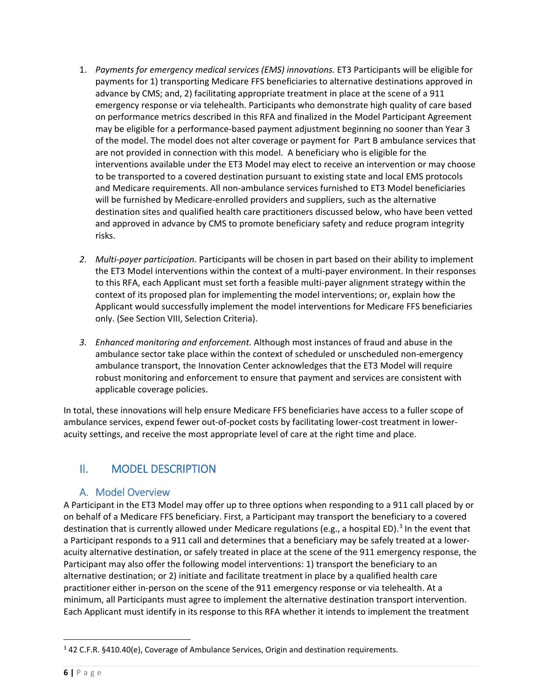- 1. *Payments for emergency medical services (EMS) innovations.* ET3 Participants will be eligible for payments for 1) transporting Medicare FFS beneficiaries to alternative destinations approved in advance by CMS; and, 2) facilitating appropriate treatment in place at the scene of a 911 emergency response or via telehealth. Participants who demonstrate high quality of care based on performance metrics described in this RFA and finalized in the Model Participant Agreement may be eligible for a performance-based payment adjustment beginning no sooner than Year 3 of the model. The model does not alter coverage or payment for Part B ambulance services that are not provided in connection with this model. A beneficiary who is eligible for the interventions available under the ET3 Model may elect to receive an intervention or may choose to be transported to a covered destination pursuant to existing state and local EMS protocols and Medicare requirements. All non-ambulance services furnished to ET3 Model beneficiaries will be furnished by Medicare-enrolled providers and suppliers, such as the alternative destination sites and qualified health care practitioners discussed below, who have been vetted and approved in advance by CMS to promote beneficiary safety and reduce program integrity risks.
- *2. Multi-payer participation.* Participants will be chosen in part based on their ability to implement the ET3 Model interventions within the context of a multi-payer environment. In their responses to this RFA, each Applicant must set forth a feasible multi-payer alignment strategy within the context of its proposed plan for implementing the model interventions; or, explain how the Applicant would successfully implement the model interventions for Medicare FFS beneficiaries only. (See Section VIII, Selection Criteria).
- *3. Enhanced monitoring and enforcement.* Although most instances of fraud and abuse in the ambulance sector take place within the context of scheduled or unscheduled non-emergency ambulance transport, the Innovation Center acknowledges that the ET3 Model will require robust monitoring and enforcement to ensure that payment and services are consistent with applicable coverage policies.

In total, these innovations will help ensure Medicare FFS beneficiaries have access to a fuller scope of ambulance services, expend fewer out-of-pocket costs by facilitating lower-cost treatment in loweracuity settings, and receive the most appropriate level of care at the right time and place.

# <span id="page-5-0"></span>II. MODEL DESCRIPTION

# <span id="page-5-1"></span>A. Model Overview

A Participant in the ET3 Model may offer up to three options when responding to a 911 call placed by or on behalf of a Medicare FFS beneficiary. First, a Participant may transport the beneficiary to a covered destination that is currently allowed under Medicare regulations (e.g., a hospital ED).<sup>[3](#page-5-2)</sup> In the event that a Participant responds to a 911 call and determines that a beneficiary may be safely treated at a loweracuity alternative destination, or safely treated in place at the scene of the 911 emergency response, the Participant may also offer the following model interventions: 1) transport the beneficiary to an alternative destination; or 2) initiate and facilitate treatment in place by a qualified health care practitioner either in-person on the scene of the 911 emergency response or via telehealth. At a minimum, all Participants must agree to implement the alternative destination transport intervention. Each Applicant must identify in its response to this RFA whether it intends to implement the treatment

 $\overline{\phantom{a}}$ 

<span id="page-5-2"></span><sup>&</sup>lt;sup>3</sup> 42 C.F.R. §410.40(e), Coverage of Ambulance Services, Origin and destination requirements.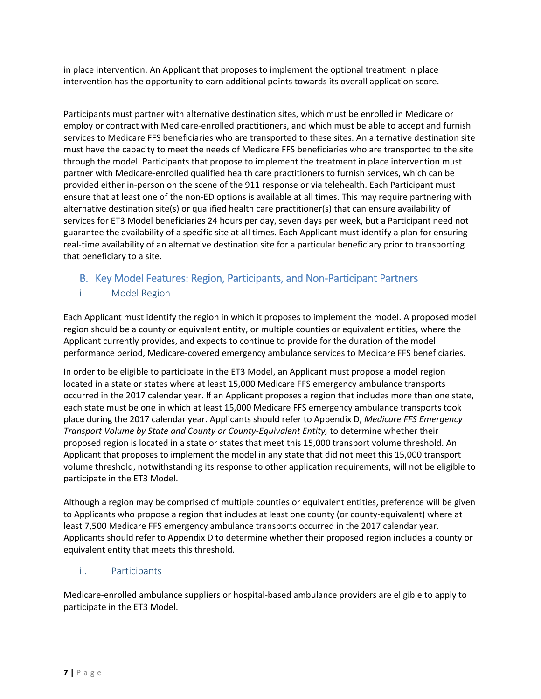in place intervention. An Applicant that proposes to implement the optional treatment in place intervention has the opportunity to earn additional points towards its overall application score.

Participants must partner with alternative destination sites, which must be enrolled in Medicare or employ or contract with Medicare-enrolled practitioners, and which must be able to accept and furnish services to Medicare FFS beneficiaries who are transported to these sites. An alternative destination site must have the capacity to meet the needs of Medicare FFS beneficiaries who are transported to the site through the model. Participants that propose to implement the treatment in place intervention must partner with Medicare-enrolled qualified health care practitioners to furnish services, which can be provided either in-person on the scene of the 911 response or via telehealth. Each Participant must ensure that at least one of the non-ED options is available at all times. This may require partnering with alternative destination site(s) or qualified health care practitioner(s) that can ensure availability of services for ET3 Model beneficiaries 24 hours per day, seven days per week, but a Participant need not guarantee the availability of a specific site at all times. Each Applicant must identify a plan for ensuring real-time availability of an alternative destination site for a particular beneficiary prior to transporting that beneficiary to a site.

# <span id="page-6-0"></span>B. Key Model Features: Region, Participants, and Non-Participant Partners

### <span id="page-6-1"></span>i. Model Region

Each Applicant must identify the region in which it proposes to implement the model. A proposed model region should be a county or equivalent entity, or multiple counties or equivalent entities, where the Applicant currently provides, and expects to continue to provide for the duration of the model performance period, Medicare-covered emergency ambulance services to Medicare FFS beneficiaries.

In order to be eligible to participate in the ET3 Model, an Applicant must propose a model region located in a state or states where at least 15,000 Medicare FFS emergency ambulance transports occurred in the 2017 calendar year. If an Applicant proposes a region that includes more than one state, each state must be one in which at least 15,000 Medicare FFS emergency ambulance transports took place during the 2017 calendar year. Applicants should refer to Appendix D, *Medicare FFS Emergency Transport Volume by State and County or County-Equivalent Entity,* to determine whether their proposed region is located in a state or states that meet this 15,000 transport volume threshold. An Applicant that proposes to implement the model in any state that did not meet this 15,000 transport volume threshold, notwithstanding its response to other application requirements, will not be eligible to participate in the ET3 Model.

Although a region may be comprised of multiple counties or equivalent entities, preference will be given to Applicants who propose a region that includes at least one county (or county-equivalent) where at least 7,500 Medicare FFS emergency ambulance transports occurred in the 2017 calendar year. Applicants should refer to Appendix D to determine whether their proposed region includes a county or equivalent entity that meets this threshold.

### <span id="page-6-2"></span>ii. Participants

Medicare-enrolled ambulance suppliers or hospital-based ambulance providers are eligible to apply to participate in the ET3 Model.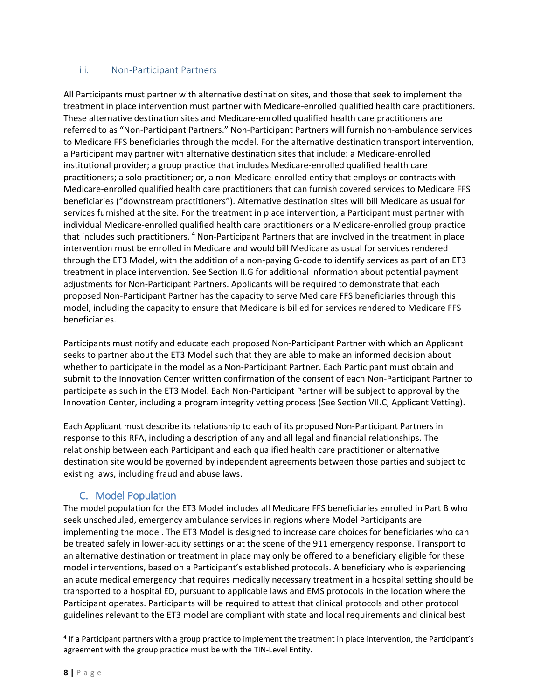### <span id="page-7-0"></span>iii. Non-Participant Partners

All Participants must partner with alternative destination sites, and those that seek to implement the treatment in place intervention must partner with Medicare-enrolled qualified health care practitioners. These alternative destination sites and Medicare-enrolled qualified health care practitioners are referred to as "Non-Participant Partners." Non-Participant Partners will furnish non-ambulance services to Medicare FFS beneficiaries through the model. For the alternative destination transport intervention, a Participant may partner with alternative destination sites that include: a Medicare-enrolled institutional provider; a group practice that includes Medicare-enrolled qualified health care practitioners; a solo practitioner; or, a non-Medicare-enrolled entity that employs or contracts with Medicare-enrolled qualified health care practitioners that can furnish covered services to Medicare FFS beneficiaries ("downstream practitioners"). Alternative destination sites will bill Medicare as usual for services furnished at the site. For the treatment in place intervention, a Participant must partner with individual Medicare-enrolled qualified health care practitioners or a Medicare-enrolled group practice that includes such practitioners. <sup>[4](#page-7-2)</sup> Non-Participant Partners that are involved in the treatment in place intervention must be enrolled in Medicare and would bill Medicare as usual for services rendered through the ET3 Model, with the addition of a non-paying G-code to identify services as part of an ET3 treatment in place intervention. See Section II.G for additional information about potential payment adjustments for Non-Participant Partners. Applicants will be required to demonstrate that each proposed Non-Participant Partner has the capacity to serve Medicare FFS beneficiaries through this model, including the capacity to ensure that Medicare is billed for services rendered to Medicare FFS beneficiaries.

Participants must notify and educate each proposed Non-Participant Partner with which an Applicant seeks to partner about the ET3 Model such that they are able to make an informed decision about whether to participate in the model as a Non-Participant Partner. Each Participant must obtain and submit to the Innovation Center written confirmation of the consent of each Non-Participant Partner to participate as such in the ET3 Model. Each Non-Participant Partner will be subject to approval by the Innovation Center, including a program integrity vetting process (See Section VII.C, Applicant Vetting).

Each Applicant must describe its relationship to each of its proposed Non-Participant Partners in response to this RFA, including a description of any and all legal and financial relationships. The relationship between each Participant and each qualified health care practitioner or alternative destination site would be governed by independent agreements between those parties and subject to existing laws, including fraud and abuse laws.

# C. Model Population

<span id="page-7-1"></span>The model population for the ET3 Model includes all Medicare FFS beneficiaries enrolled in Part B who seek unscheduled, emergency ambulance services in regions where Model Participants are implementing the model. The ET3 Model is designed to increase care choices for beneficiaries who can be treated safely in lower-acuity settings or at the scene of the 911 emergency response. Transport to an alternative destination or treatment in place may only be offered to a beneficiary eligible for these model interventions, based on a Participant's established protocols. A beneficiary who is experiencing an acute medical emergency that requires medically necessary treatment in a hospital setting should be transported to a hospital ED, pursuant to applicable laws and EMS protocols in the location where the Participant operates. Participants will be required to attest that clinical protocols and other protocol guidelines relevant to the ET3 model are compliant with state and local requirements and clinical best

l

<span id="page-7-2"></span><sup>&</sup>lt;sup>4</sup> If a Participant partners with a group practice to implement the treatment in place intervention, the Participant's agreement with the group practice must be with the TIN-Level Entity.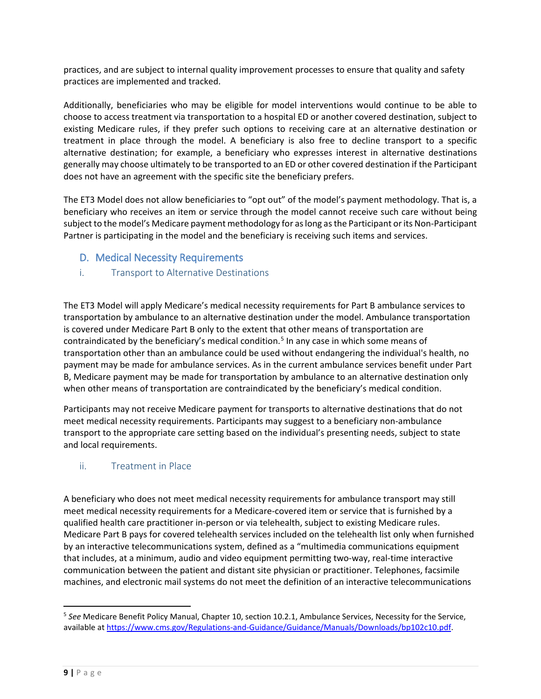practices, and are subject to internal quality improvement processes to ensure that quality and safety practices are implemented and tracked.

Additionally, beneficiaries who may be eligible for model interventions would continue to be able to choose to access treatment via transportation to a hospital ED or another covered destination, subject to existing Medicare rules, if they prefer such options to receiving care at an alternative destination or treatment in place through the model. A beneficiary is also free to decline transport to a specific alternative destination; for example, a beneficiary who expresses interest in alternative destinations generally may choose ultimately to be transported to an ED or other covered destination if the Participant does not have an agreement with the specific site the beneficiary prefers.

The ET3 Model does not allow beneficiaries to "opt out" of the model's payment methodology. That is, a beneficiary who receives an item or service through the model cannot receive such care without being subject to the model's Medicare payment methodology for as long as the Participant or its Non-Participant Partner is participating in the model and the beneficiary is receiving such items and services.

- <span id="page-8-0"></span>D. Medical Necessity Requirements
- <span id="page-8-1"></span>i. Transport to Alternative Destinations

The ET3 Model will apply Medicare's medical necessity requirements for Part B ambulance services to transportation by ambulance to an alternative destination under the model. Ambulance transportation is covered under Medicare Part B only to the extent that other means of transportation are contraindicated by the beneficiary's medical condition. [5](#page-8-3) In any case in which some means of transportation other than an ambulance could be used without endangering the individual's health, no payment may be made for ambulance services. As in the current ambulance services benefit under Part B, Medicare payment may be made for transportation by ambulance to an alternative destination only when other means of transportation are contraindicated by the beneficiary's medical condition.

Participants may not receive Medicare payment for transports to alternative destinations that do not meet medical necessity requirements. Participants may suggest to a beneficiary non-ambulance transport to the appropriate care setting based on the individual's presenting needs, subject to state and local requirements.

### <span id="page-8-2"></span>ii. Treatment in Place

A beneficiary who does not meet medical necessity requirements for ambulance transport may still meet medical necessity requirements for a Medicare-covered item or service that is furnished by a qualified health care practitioner in-person or via telehealth, subject to existing Medicare rules. Medicare Part B pays for covered telehealth services included on the telehealth list only when furnished by an interactive telecommunications system, defined as a "multimedia communications equipment that includes, at a minimum, audio and video equipment permitting two-way, real-time interactive communication between the patient and distant site physician or practitioner. Telephones, facsimile machines, and electronic mail systems do not meet the definition of an interactive telecommunications

 $\overline{a}$ 

<span id="page-8-3"></span><sup>5</sup> *See* Medicare Benefit Policy Manual, Chapter 10, section 10.2.1, Ambulance Services, Necessity for the Service, available a[t https://www.cms.gov/Regulations-and-Guidance/Guidance/Manuals/Downloads/bp102c10.pdf.](https://www.cms.gov/Regulations-and-Guidance/Guidance/Manuals/Downloads/bp102c10.pdf)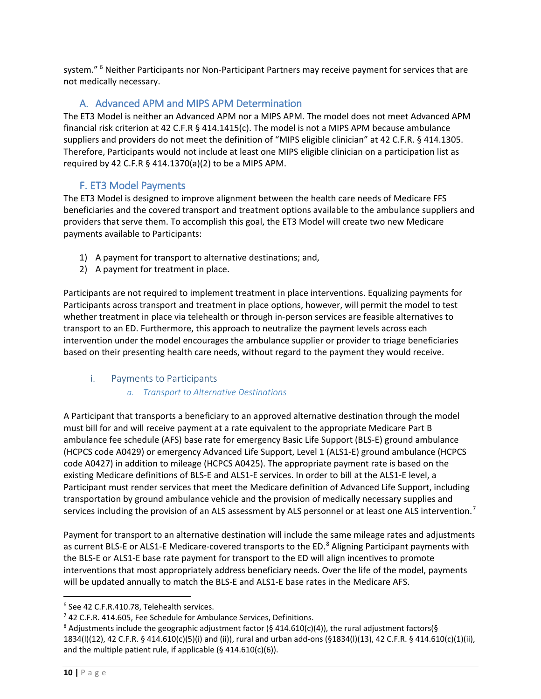system." <sup>[6](#page-9-3)</sup> Neither Participants nor Non-Participant Partners may receive payment for services that are not medically necessary.

# A. Advanced APM and MIPS APM Determination

<span id="page-9-0"></span>The ET3 Model is neither an Advanced APM nor a MIPS APM. The model does not meet Advanced APM financial risk criterion at 42 C.F.R § 414.1415(c). The model is not a MIPS APM because ambulance suppliers and providers do not meet the definition of "MIPS eligible clinician" at 42 C.F.R. § 414.1305. Therefore, Participants would not include at least one MIPS eligible clinician on a participation list as required by 42 C.F.R § 414.1370(a)(2) to be a MIPS APM.

# F. ET3 Model Payments

<span id="page-9-1"></span>The ET3 Model is designed to improve alignment between the health care needs of Medicare FFS beneficiaries and the covered transport and treatment options available to the ambulance suppliers and providers that serve them. To accomplish this goal, the ET3 Model will create two new Medicare payments available to Participants:

- 1) A payment for transport to alternative destinations; and,
- 2) A payment for treatment in place.

Participants are not required to implement treatment in place interventions. Equalizing payments for Participants across transport and treatment in place options, however, will permit the model to test whether treatment in place via telehealth or through in-person services are feasible alternatives to transport to an ED. Furthermore, this approach to neutralize the payment levels across each intervention under the model encourages the ambulance supplier or provider to triage beneficiaries based on their presenting health care needs, without regard to the payment they would receive.

### <span id="page-9-2"></span>i. Payments to Participants

### *a. Transport to Alternative Destinations*

A Participant that transports a beneficiary to an approved alternative destination through the model must bill for and will receive payment at a rate equivalent to the appropriate Medicare Part B ambulance fee schedule (AFS) base rate for emergency Basic Life Support (BLS-E) ground ambulance (HCPCS code A0429) or emergency Advanced Life Support, Level 1 (ALS1-E) ground ambulance (HCPCS code A0427) in addition to mileage (HCPCS A0425). The appropriate payment rate is based on the existing Medicare definitions of BLS-E and ALS1-E services. In order to bill at the ALS1-E level, a Participant must render services that meet the Medicare definition of Advanced Life Support, including transportation by ground ambulance vehicle and the provision of medically necessary supplies and services including the provision of an ALS assessment by ALS personnel or at least one ALS intervention.<sup>[7](#page-9-4)</sup>

Payment for transport to an alternative destination will include the same mileage rates and adjustments as current BLS-E or ALS1-E Medicare-covered transports to the ED.<sup>[8](#page-9-5)</sup> Aligning Participant payments with the BLS-E or ALS1-E base rate payment for transport to the ED will align incentives to promote interventions that most appropriately address beneficiary needs. Over the life of the model, payments will be updated annually to match the BLS-E and ALS1-E base rates in the Medicare AFS.

 $\overline{\phantom{a}}$ 

<span id="page-9-3"></span><sup>6</sup> See 42 C.F.R.410.78, Telehealth services.

<span id="page-9-4"></span><sup>&</sup>lt;sup>7</sup> 42 C.F.R. 414.605, Fee Schedule for Ambulance Services, Definitions.

<span id="page-9-5"></span><sup>&</sup>lt;sup>8</sup> Adjustments include the geographic adjustment factor (§ 414.610(c)(4)), the rural adjustment factors(§ 1834(l)(12), 42 C.F.R. § 414.610(c)(5)(i) and (ii)), rural and urban add-ons (§1834(l)(13), 42 C.F.R. § 414.610(c)(1)(ii), and the multiple patient rule, if applicable (§ 414.610(c)(6)).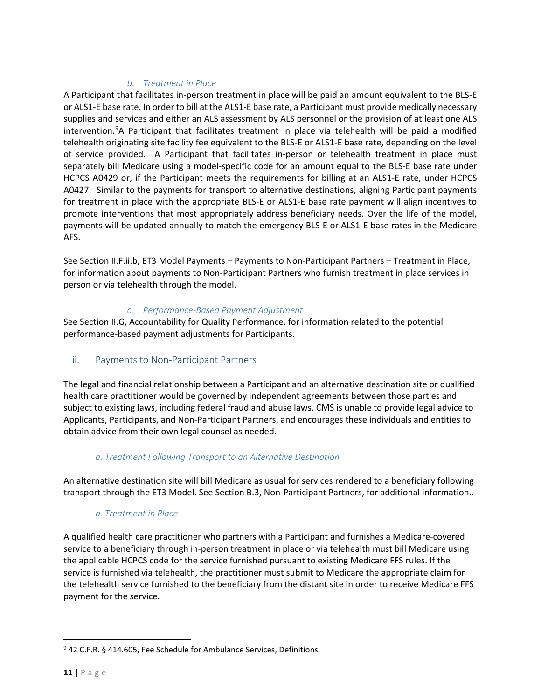#### *b. Treatment in Place*

A Participant that facilitates in-person treatment in place will be paid an amount equivalent to the BLS-E or ALS1-E base rate. In order to bill at the ALS1-E base rate, a Participant must provide medically necessary supplies and services and either an ALS assessment by ALS personnel or the provision of at least one ALS intervention.<sup>[9](#page-10-1)</sup>A Participant that facilitates treatment in place via telehealth will be paid a modified telehealth originating site facility fee equivalent to the BLS-E or ALS1-E base rate, depending on the level of service provided. A Participant that facilitates in-person or telehealth treatment in place must separately bill Medicare using a model-specific code for an amount equal to the BLS-E base rate under HCPCS A0429 or, if the Participant meets the requirements for billing at an ALS1-E rate, under HCPCS A0427. Similar to the payments for transport to alternative destinations, aligning Participant payments for treatment in place with the appropriate BLS-E or ALS1-E base rate payment will align incentives to promote interventions that most appropriately address beneficiary needs. Over the life of the model, payments will be updated annually to match the emergency BLS-E or ALS1-E base rates in the Medicare AFS.

See Section II.F.ii.b, ET3 Model Payments – Payments to Non-Participant Partners – Treatment in Place, for information about payments to Non-Participant Partners who furnish treatment in place services in person or via telehealth through the model.

#### *c. Performance-Based Payment Adjustment*

See Section II.G, Accountability for Quality Performance, for information related to the potential performance-based payment adjustments for Participants.

### <span id="page-10-0"></span>ii. Payments to Non-Participant Partners

The legal and financial relationship between a Participant and an alternative destination site or qualified health care practitioner would be governed by independent agreements between those parties and subject to existing laws, including federal fraud and abuse laws. CMS is unable to provide legal advice to Applicants, Participants, and Non-Participant Partners, and encourages these individuals and entities to obtain advice from their own legal counsel as needed.

### *a. Treatment Following Transport to an Alternative Destination*

An alternative destination site will bill Medicare as usual for services rendered to a beneficiary following transport through the ET3 Model. See Section B.3, Non-Participant Partners, for additional information..

### *b. Treatment in Place*

A qualified health care practitioner who partners with a Participant and furnishes a Medicare-covered service to a beneficiary through in-person treatment in place or via telehealth must bill Medicare using the applicable HCPCS code for the service furnished pursuant to existing Medicare FFS rules. If the service is furnished via telehealth, the practitioner must submit to Medicare the appropriate claim for the telehealth service furnished to the beneficiary from the distant site in order to receive Medicare FFS payment for the service.

 $\overline{\phantom{a}}$ 

<span id="page-10-1"></span><sup>&</sup>lt;sup>9</sup> 42 C.F.R. § 414.605, Fee Schedule for Ambulance Services, Definitions.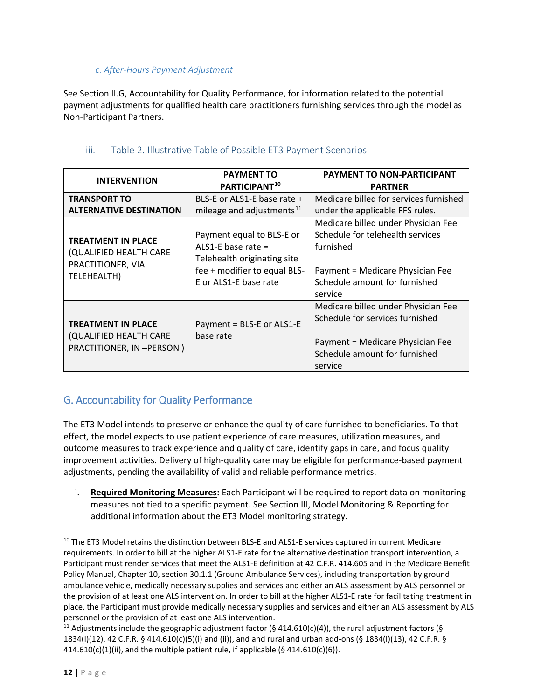#### *c. After-Hours Payment Adjustment*

See Section II.G, Accountability for Quality Performance, for information related to the potential payment adjustments for qualified health care practitioners furnishing services through the model as Non-Participant Partners.

<span id="page-11-0"></span>

| <b>INTERVENTION</b>                                                                     | <b>PAYMENT TO</b><br>PARTICIPANT <sup>10</sup>                                                                                            | <b>PAYMENT TO NON-PARTICIPANT</b><br><b>PARTNER</b>                                                                                                                  |
|-----------------------------------------------------------------------------------------|-------------------------------------------------------------------------------------------------------------------------------------------|----------------------------------------------------------------------------------------------------------------------------------------------------------------------|
| <b>TRANSPORT TO</b><br><b>ALTERNATIVE DESTINATION</b>                                   | BLS-E or ALS1-E base rate +<br>mileage and adjustments <sup>11</sup>                                                                      | Medicare billed for services furnished<br>under the applicable FFS rules.                                                                                            |
| <b>TREATMENT IN PLACE</b><br>(QUALIFIED HEALTH CARE<br>PRACTITIONER, VIA<br>TELEHEALTH) | Payment equal to BLS-E or<br>ALS1-E base rate $=$<br>Telehealth originating site<br>fee + modifier to equal BLS-<br>F or ALS1-F base rate | Medicare billed under Physician Fee<br>Schedule for telehealth services<br>furnished<br>Payment = Medicare Physician Fee<br>Schedule amount for furnished<br>service |
| <b>TREATMENT IN PLACE</b><br>(QUALIFIED HEALTH CARE<br>PRACTITIONER, IN -PERSON)        | Payment = BLS-E or ALS1-E<br>base rate                                                                                                    | Medicare billed under Physician Fee<br>Schedule for services furnished<br>Payment = Medicare Physician Fee<br>Schedule amount for furnished<br>service               |

### iii. Table 2. Illustrative Table of Possible ET3 Payment Scenarios

# <span id="page-11-1"></span>G. Accountability for Quality Performance

The ET3 Model intends to preserve or enhance the quality of care furnished to beneficiaries. To that effect, the model expects to use patient experience of care measures, utilization measures, and outcome measures to track experience and quality of care, identify gaps in care, and focus quality improvement activities. Delivery of high-quality care may be eligible for performance-based payment adjustments, pending the availability of valid and reliable performance metrics.

i. **Required Monitoring Measures:** Each Participant will be required to report data on monitoring measures not tied to a specific payment. See Section III, Model Monitoring & Reporting for additional information about the ET3 Model monitoring strategy.

<span id="page-11-2"></span><sup>&</sup>lt;sup>10</sup> The ET3 Model retains the distinction between BLS-E and ALS1-E services captured in current Medicare requirements. In order to bill at the higher ALS1-E rate for the alternative destination transport intervention, a Participant must render services that meet the ALS1-E definition at 42 C.F.R. 414.605 and in the Medicare Benefit Policy Manual, Chapter 10, section 30.1.1 (Ground Ambulance Services), including transportation by ground ambulance vehicle, medically necessary supplies and services and either an ALS assessment by ALS personnel or the provision of at least one ALS intervention. In order to bill at the higher ALS1-E rate for facilitating treatment in place, the Participant must provide medically necessary supplies and services and either an ALS assessment by ALS personnel or the provision of at least one ALS intervention.

<span id="page-11-3"></span><sup>&</sup>lt;sup>11</sup> Adjustments include the geographic adjustment factor (§ 414.610(c)(4)), the rural adjustment factors (§ 1834(l)(12), 42 C.F.R. § 414.610(c)(5)(i) and (ii)), and and rural and urban add-ons (§ 1834(l)(13), 42 C.F.R. §  $414.610(c)(1)(ii)$ , and the multiple patient rule, if applicable (§ 414.610(c)(6)).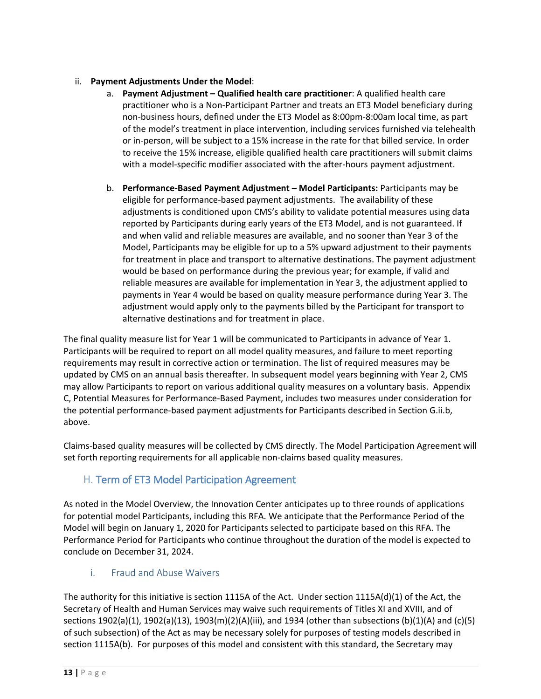### ii. **Payment Adjustments Under the Model**:

- a. **Payment Adjustment Qualified health care practitioner**: A qualified health care practitioner who is a Non-Participant Partner and treats an ET3 Model beneficiary during non-business hours, defined under the ET3 Model as 8:00pm-8:00am local time, as part of the model's treatment in place intervention, including services furnished via telehealth or in-person, will be subject to a 15% increase in the rate for that billed service. In order to receive the 15% increase, eligible qualified health care practitioners will submit claims with a model-specific modifier associated with the after-hours payment adjustment.
- b. **Performance-Based Payment Adjustment Model Participants:** Participants may be eligible for performance-based payment adjustments. The availability of these adjustments is conditioned upon CMS's ability to validate potential measures using data reported by Participants during early years of the ET3 Model, and is not guaranteed. If and when valid and reliable measures are available, and no sooner than Year 3 of the Model, Participants may be eligible for up to a 5% upward adjustment to their payments for treatment in place and transport to alternative destinations. The payment adjustment would be based on performance during the previous year; for example, if valid and reliable measures are available for implementation in Year 3, the adjustment applied to payments in Year 4 would be based on quality measure performance during Year 3. The adjustment would apply only to the payments billed by the Participant for transport to alternative destinations and for treatment in place.

The final quality measure list for Year 1 will be communicated to Participants in advance of Year 1. Participants will be required to report on all model quality measures, and failure to meet reporting requirements may result in corrective action or termination. The list of required measures may be updated by CMS on an annual basis thereafter. In subsequent model years beginning with Year 2, CMS may allow Participants to report on various additional quality measures on a voluntary basis. Appendix C, Potential Measures for Performance-Based Payment, includes two measures under consideration for the potential performance-based payment adjustments for Participants described in Section G.ii.b, above.

Claims-based quality measures will be collected by CMS directly. The Model Participation Agreement will set forth reporting requirements for all applicable non-claims based quality measures.

# <span id="page-12-0"></span>H. Term of ET3 Model Participation Agreement

As noted in the Model Overview, the Innovation Center anticipates up to three rounds of applications for potential model Participants, including this RFA. We anticipate that the Performance Period of the Model will begin on January 1, 2020 for Participants selected to participate based on this RFA. The Performance Period for Participants who continue throughout the duration of the model is expected to conclude on December 31, 2024.

### i. Fraud and Abuse Waivers

<span id="page-12-1"></span>The authority for this initiative is section 1115A of the Act. Under section 1115A(d)(1) of the Act, the Secretary of Health and Human Services may waive such requirements of Titles XI and XVIII, and of sections 1902(a)(1), 1902(a)(13), 1903(m)(2)(A)(iii), and 1934 (other than subsections (b)(1)(A) and (c)(5) of such subsection) of the Act as may be necessary solely for purposes of testing models described in section 1115A(b). For purposes of this model and consistent with this standard, the Secretary may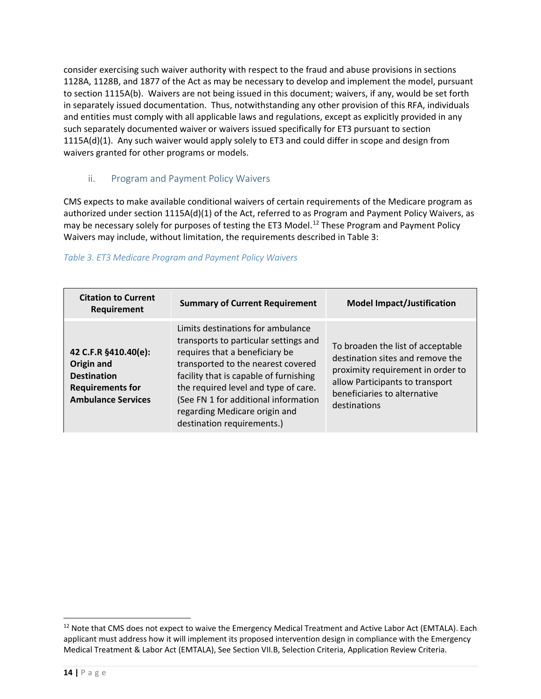consider exercising such waiver authority with respect to the fraud and abuse provisions in sections 1128A, 1128B, and 1877 of the Act as may be necessary to develop and implement the model, pursuant to section 1115A(b). Waivers are not being issued in this document; waivers, if any, would be set forth in separately issued documentation. Thus, notwithstanding any other provision of this RFA, individuals and entities must comply with all applicable laws and regulations, except as explicitly provided in any such separately documented waiver or waivers issued specifically for ET3 pursuant to section 1115A(d)(1). Any such waiver would apply solely to ET3 and could differ in scope and design from waivers granted for other programs or models.

### <span id="page-13-0"></span>ii. Program and Payment Policy Waivers

CMS expects to make available conditional waivers of certain requirements of the Medicare program as authorized under section 1115A(d)(1) of the Act, referred to as Program and Payment Policy Waivers, as may be necessary solely for purposes of testing the ET3 Model.<sup>[12](#page-13-1)</sup> These Program and Payment Policy Waivers may include, without limitation, the requirements described in Table 3:

### *Table 3. ET3 Medicare Program and Payment Policy Waivers*

| <b>Citation to Current</b><br>Requirement                                                                        | <b>Summary of Current Requirement</b>                                                                                                                                                                                                                                                                                                       | <b>Model Impact/Justification</b>                                                                                                                                                             |
|------------------------------------------------------------------------------------------------------------------|---------------------------------------------------------------------------------------------------------------------------------------------------------------------------------------------------------------------------------------------------------------------------------------------------------------------------------------------|-----------------------------------------------------------------------------------------------------------------------------------------------------------------------------------------------|
| 42 C.F.R §410.40(e):<br>Origin and<br><b>Destination</b><br><b>Requirements for</b><br><b>Ambulance Services</b> | Limits destinations for ambulance<br>transports to particular settings and<br>requires that a beneficiary be<br>transported to the nearest covered<br>facility that is capable of furnishing<br>the required level and type of care.<br>(See FN 1 for additional information<br>regarding Medicare origin and<br>destination requirements.) | To broaden the list of acceptable<br>destination sites and remove the<br>proximity requirement in order to<br>allow Participants to transport<br>beneficiaries to alternative<br>destinations |

 $\overline{a}$ 

<span id="page-13-1"></span><sup>&</sup>lt;sup>12</sup> Note that CMS does not expect to waive the Emergency Medical Treatment and Active Labor Act (EMTALA). Each applicant must address how it will implement its proposed intervention design in compliance with the Emergency Medical Treatment & Labor Act (EMTALA), See Section VII.B, Selection Criteria, Application Review Criteria.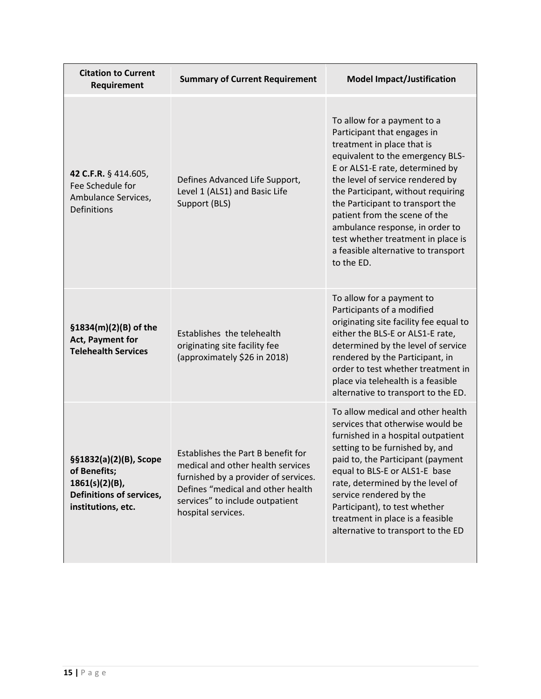| <b>Citation to Current</b><br>Requirement                                                                     | <b>Summary of Current Requirement</b>                                                                                                                                                                         | <b>Model Impact/Justification</b>                                                                                                                                                                                                                                                                                                                                                                                                            |
|---------------------------------------------------------------------------------------------------------------|---------------------------------------------------------------------------------------------------------------------------------------------------------------------------------------------------------------|----------------------------------------------------------------------------------------------------------------------------------------------------------------------------------------------------------------------------------------------------------------------------------------------------------------------------------------------------------------------------------------------------------------------------------------------|
| 42 C.F.R. § 414.605,<br>Fee Schedule for<br>Ambulance Services,<br><b>Definitions</b>                         | Defines Advanced Life Support,<br>Level 1 (ALS1) and Basic Life<br>Support (BLS)                                                                                                                              | To allow for a payment to a<br>Participant that engages in<br>treatment in place that is<br>equivalent to the emergency BLS-<br>E or ALS1-E rate, determined by<br>the level of service rendered by<br>the Participant, without requiring<br>the Participant to transport the<br>patient from the scene of the<br>ambulance response, in order to<br>test whether treatment in place is<br>a feasible alternative to transport<br>to the ED. |
| §1834(m)(2)(B) of the<br>Act, Payment for<br><b>Telehealth Services</b>                                       | Establishes the telehealth<br>originating site facility fee<br>(approximately \$26 in 2018)                                                                                                                   | To allow for a payment to<br>Participants of a modified<br>originating site facility fee equal to<br>either the BLS-E or ALS1-E rate,<br>determined by the level of service<br>rendered by the Participant, in<br>order to test whether treatment in<br>place via telehealth is a feasible<br>alternative to transport to the ED.                                                                                                            |
| §§1832(a)(2)(B), Scope<br>of Benefits;<br>$1861(s)(2)(B)$ ,<br>Definitions of services,<br>institutions, etc. | Establishes the Part B benefit for<br>medical and other health services<br>furnished by a provider of services.<br>Defines "medical and other health<br>services" to include outpatient<br>hospital services. | To allow medical and other health<br>services that otherwise would be<br>furnished in a hospital outpatient<br>setting to be furnished by, and<br>paid to, the Participant (payment<br>equal to BLS-E or ALS1-E base<br>rate, determined by the level of<br>service rendered by the<br>Participant), to test whether<br>treatment in place is a feasible<br>alternative to transport to the ED                                               |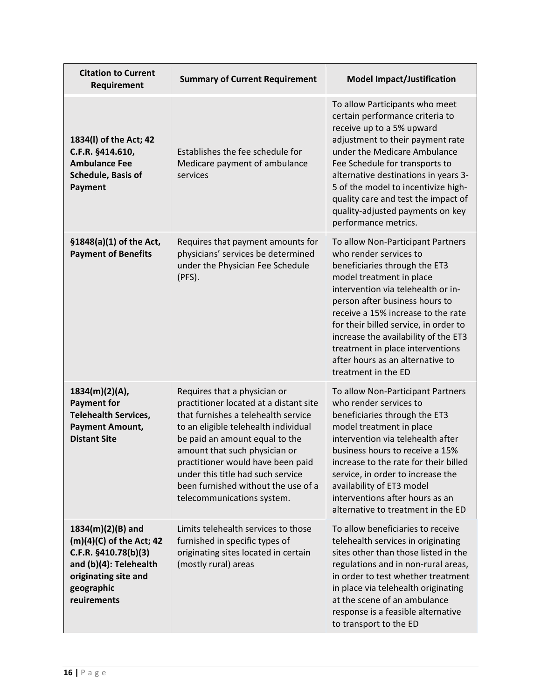| <b>Citation to Current</b><br>Requirement                                                                                                              | <b>Summary of Current Requirement</b>                                                                                                                                                                                                                                                                                                                                   | <b>Model Impact/Justification</b>                                                                                                                                                                                                                                                                                                                                                                                      |
|--------------------------------------------------------------------------------------------------------------------------------------------------------|-------------------------------------------------------------------------------------------------------------------------------------------------------------------------------------------------------------------------------------------------------------------------------------------------------------------------------------------------------------------------|------------------------------------------------------------------------------------------------------------------------------------------------------------------------------------------------------------------------------------------------------------------------------------------------------------------------------------------------------------------------------------------------------------------------|
| 1834(I) of the Act; 42<br>C.F.R. §414.610,<br><b>Ambulance Fee</b><br>Schedule, Basis of<br>Payment                                                    | Establishes the fee schedule for<br>Medicare payment of ambulance<br>services                                                                                                                                                                                                                                                                                           | To allow Participants who meet<br>certain performance criteria to<br>receive up to a 5% upward<br>adjustment to their payment rate<br>under the Medicare Ambulance<br>Fee Schedule for transports to<br>alternative destinations in years 3-<br>5 of the model to incentivize high-<br>quality care and test the impact of<br>quality-adjusted payments on key<br>performance metrics.                                 |
| §1848(a)(1) of the Act,<br><b>Payment of Benefits</b>                                                                                                  | Requires that payment amounts for<br>physicians' services be determined<br>under the Physician Fee Schedule<br>(PFS).                                                                                                                                                                                                                                                   | To allow Non-Participant Partners<br>who render services to<br>beneficiaries through the ET3<br>model treatment in place<br>intervention via telehealth or in-<br>person after business hours to<br>receive a 15% increase to the rate<br>for their billed service, in order to<br>increase the availability of the ET3<br>treatment in place interventions<br>after hours as an alternative to<br>treatment in the ED |
| 1834(m)(2)(A),<br><b>Payment for</b><br><b>Telehealth Services,</b><br><b>Payment Amount,</b><br><b>Distant Site</b>                                   | Requires that a physician or<br>practitioner located at a distant site<br>that furnishes a telehealth service<br>to an eligible telehealth individual<br>be paid an amount equal to the<br>amount that such physician or<br>practitioner would have been paid<br>under this title had such service<br>been furnished without the use of a<br>telecommunications system. | To allow Non-Participant Partners<br>who render services to<br>beneficiaries through the ET3<br>model treatment in place<br>intervention via telehealth after<br>business hours to receive a 15%<br>increase to the rate for their billed<br>service, in order to increase the<br>availability of ET3 model<br>interventions after hours as an<br>alternative to treatment in the ED                                   |
| $1834(m)(2)(B)$ and<br>(m)(4)(C) of the Act; 42<br>C.F.R. §410.78(b)(3)<br>and (b)(4): Telehealth<br>originating site and<br>geographic<br>reuirements | Limits telehealth services to those<br>furnished in specific types of<br>originating sites located in certain<br>(mostly rural) areas                                                                                                                                                                                                                                   | To allow beneficiaries to receive<br>telehealth services in originating<br>sites other than those listed in the<br>regulations and in non-rural areas,<br>in order to test whether treatment<br>in place via telehealth originating<br>at the scene of an ambulance<br>response is a feasible alternative<br>to transport to the ED                                                                                    |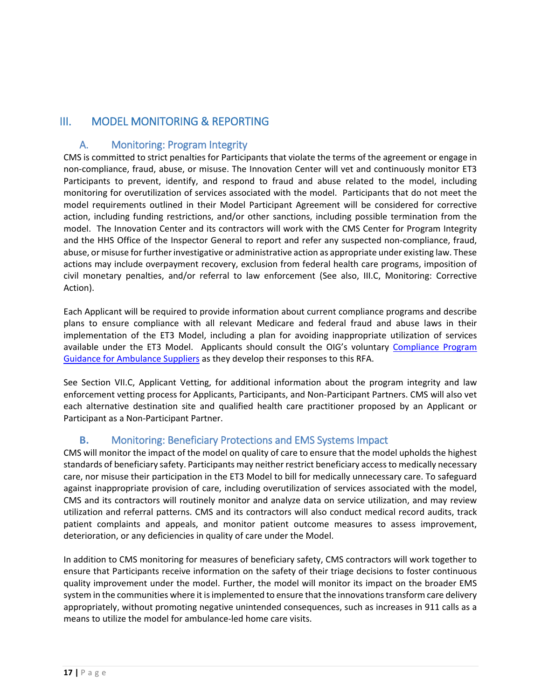# <span id="page-16-1"></span><span id="page-16-0"></span>III. MODEL MONITORING & REPORTING

# A. Monitoring: Program Integrity

CMS is committed to strict penalties for Participants that violate the terms of the agreement or engage in non-compliance, fraud, abuse, or misuse. The Innovation Center will vet and continuously monitor ET3 Participants to prevent, identify, and respond to fraud and abuse related to the model, including monitoring for overutilization of services associated with the model. Participants that do not meet the model requirements outlined in their Model Participant Agreement will be considered for corrective action, including funding restrictions, and/or other sanctions, including possible termination from the model. The Innovation Center and its contractors will work with the CMS Center for Program Integrity and the HHS Office of the Inspector General to report and refer any suspected non-compliance, fraud, abuse, or misuse for further investigative or administrative action as appropriate under existing law. These actions may include overpayment recovery, exclusion from federal health care programs, imposition of civil monetary penalties, and/or referral to law enforcement (See also, III.C, Monitoring: Corrective Action).

Each Applicant will be required to provide information about current compliance programs and describe plans to ensure compliance with all relevant Medicare and federal fraud and abuse laws in their implementation of the ET3 Model, including a plan for avoiding inappropriate utilization of services available under the ET3 Model. Applicants should consult the OIG's voluntary [Compliance Program](https://oig.hhs.gov/fraud/docs/complianceguidance/032403ambulancecpgfr.pdf)  [Guidance for Ambulance Suppliers](https://oig.hhs.gov/fraud/docs/complianceguidance/032403ambulancecpgfr.pdf) as they develop their responses to this RFA.

See Section VII.C, Applicant Vetting, for additional information about the program integrity and law enforcement vetting process for Applicants, Participants, and Non-Participant Partners. CMS will also vet each alternative destination site and qualified health care practitioner proposed by an Applicant or Participant as a Non-Participant Partner.

### **B.** Monitoring: Beneficiary Protections and EMS Systems Impact

<span id="page-16-2"></span>CMS will monitor the impact of the model on quality of care to ensure that the model upholds the highest standards of beneficiary safety. Participants may neither restrict beneficiary access to medically necessary care, nor misuse their participation in the ET3 Model to bill for medically unnecessary care. To safeguard against inappropriate provision of care, including overutilization of services associated with the model, CMS and its contractors will routinely monitor and analyze data on service utilization, and may review utilization and referral patterns. CMS and its contractors will also conduct medical record audits, track patient complaints and appeals, and monitor patient outcome measures to assess improvement, deterioration, or any deficiencies in quality of care under the Model.

In addition to CMS monitoring for measures of beneficiary safety, CMS contractors will work together to ensure that Participants receive information on the safety of their triage decisions to foster continuous quality improvement under the model. Further, the model will monitor its impact on the broader EMS system in the communities where it is implemented to ensure that the innovations transform care delivery appropriately, without promoting negative unintended consequences, such as increases in 911 calls as a means to utilize the model for ambulance-led home care visits.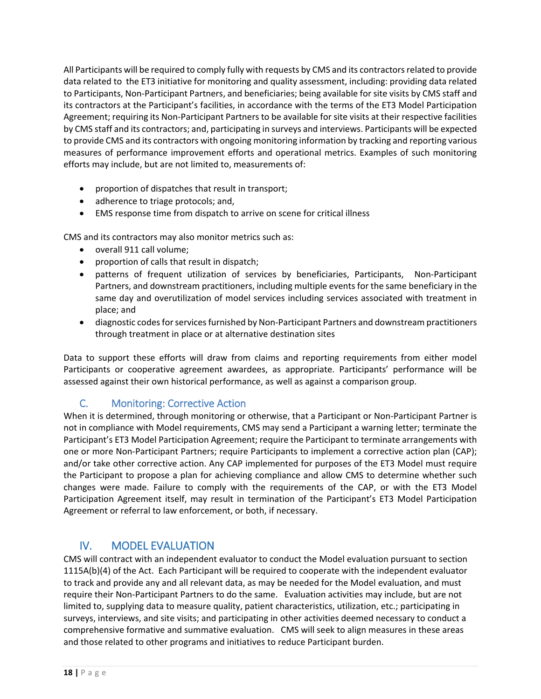All Participants will be required to comply fully with requests by CMS and its contractors related to provide data related to the ET3 initiative for monitoring and quality assessment, including: providing data related to Participants, Non-Participant Partners, and beneficiaries; being available for site visits by CMS staff and its contractors at the Participant's facilities, in accordance with the terms of the ET3 Model Participation Agreement; requiring its Non-Participant Partners to be available for site visits at their respective facilities by CMS staff and its contractors; and, participating in surveys and interviews. Participants will be expected to provide CMS and its contractors with ongoing monitoring information by tracking and reporting various measures of performance improvement efforts and operational metrics. Examples of such monitoring efforts may include, but are not limited to, measurements of:

- proportion of dispatches that result in transport;
- adherence to triage protocols; and,
- EMS response time from dispatch to arrive on scene for critical illness

CMS and its contractors may also monitor metrics such as:

- overall 911 call volume;
- proportion of calls that result in dispatch;
- patterns of frequent utilization of services by beneficiaries, Participants, Non-Participant Partners, and downstream practitioners, including multiple events for the same beneficiary in the same day and overutilization of model services including services associated with treatment in place; and
- diagnostic codes for services furnished by Non-Participant Partners and downstream practitioners through treatment in place or at alternative destination sites

Data to support these efforts will draw from claims and reporting requirements from either model Participants or cooperative agreement awardees, as appropriate. Participants' performance will be assessed against their own historical performance, as well as against a comparison group.

# <span id="page-17-0"></span>C. Monitoring: Corrective Action

When it is determined, through monitoring or otherwise, that a Participant or Non-Participant Partner is not in compliance with Model requirements, CMS may send a Participant a warning letter; terminate the Participant's ET3 Model Participation Agreement; require the Participant to terminate arrangements with one or more Non-Participant Partners; require Participants to implement a corrective action plan (CAP); and/or take other corrective action. Any CAP implemented for purposes of the ET3 Model must require the Participant to propose a plan for achieving compliance and allow CMS to determine whether such changes were made. Failure to comply with the requirements of the CAP, or with the ET3 Model Participation Agreement itself, may result in termination of the Participant's ET3 Model Participation Agreement or referral to law enforcement, or both, if necessary.

# <span id="page-17-1"></span>IV. MODEL EVALUATION

CMS will contract with an independent evaluator to conduct the Model evaluation pursuant to section 1115A(b)(4) of the Act. Each Participant will be required to cooperate with the independent evaluator to track and provide any and all relevant data, as may be needed for the Model evaluation, and must require their Non-Participant Partners to do the same. Evaluation activities may include, but are not limited to, supplying data to measure quality, patient characteristics, utilization, etc.; participating in surveys, interviews, and site visits; and participating in other activities deemed necessary to conduct a comprehensive formative and summative evaluation. CMS will seek to align measures in these areas and those related to other programs and initiatives to reduce Participant burden.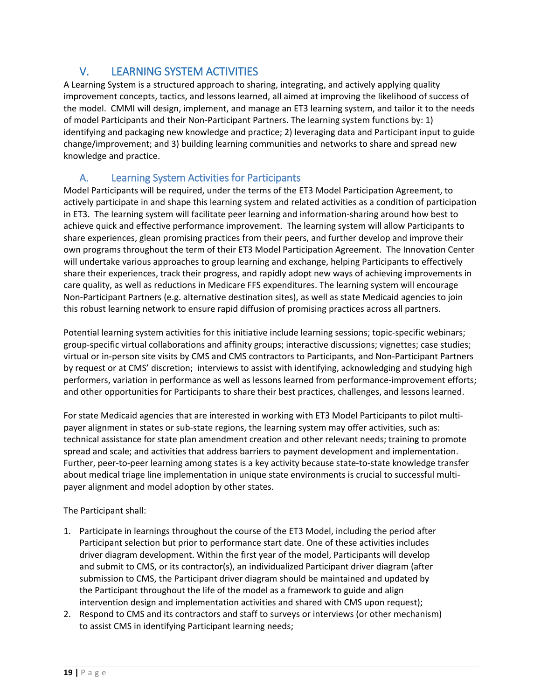# <span id="page-18-0"></span>V. LEARNING SYSTEM ACTIVITIES

A Learning System is a structured approach to sharing, integrating, and actively applying quality improvement concepts, tactics, and lessons learned, all aimed at improving the likelihood of success of the model. CMMI will design, implement, and manage an ET3 learning system, and tailor it to the needs of model Participants and their Non-Participant Partners. The learning system functions by: 1) identifying and packaging new knowledge and practice; 2) leveraging data and Participant input to guide change/improvement; and 3) building learning communities and networks to share and spread new knowledge and practice.

# <span id="page-18-1"></span>A. Learning System Activities for Participants

Model Participants will be required, under the terms of the ET3 Model Participation Agreement, to actively participate in and shape this learning system and related activities as a condition of participation in ET3. The learning system will facilitate peer learning and information-sharing around how best to achieve quick and effective performance improvement. The learning system will allow Participants to share experiences, glean promising practices from their peers, and further develop and improve their own programs throughout the term of their ET3 Model Participation Agreement. The Innovation Center will undertake various approaches to group learning and exchange, helping Participants to effectively share their experiences, track their progress, and rapidly adopt new ways of achieving improvements in care quality, as well as reductions in Medicare FFS expenditures. The learning system will encourage Non-Participant Partners (e.g. alternative destination sites), as well as state Medicaid agencies to join this robust learning network to ensure rapid diffusion of promising practices across all partners.

Potential learning system activities for this initiative include learning sessions; topic-specific webinars; group-specific virtual collaborations and affinity groups; interactive discussions; vignettes; case studies; virtual or in-person site visits by CMS and CMS contractors to Participants, and Non-Participant Partners by request or at CMS' discretion; interviews to assist with identifying, acknowledging and studying high performers, variation in performance as well as lessons learned from performance-improvement efforts; and other opportunities for Participants to share their best practices, challenges, and lessons learned.

For state Medicaid agencies that are interested in working with ET3 Model Participants to pilot multipayer alignment in states or sub-state regions, the learning system may offer activities, such as: technical assistance for state plan amendment creation and other relevant needs; training to promote spread and scale; and activities that address barriers to payment development and implementation. Further, peer-to-peer learning among states is a key activity because state-to-state knowledge transfer about medical triage line implementation in unique state environments is crucial to successful multipayer alignment and model adoption by other states.

### The Participant shall:

- 1. Participate in learnings throughout the course of the ET3 Model, including the period after Participant selection but prior to performance start date. One of these activities includes driver diagram development. Within the first year of the model, Participants will develop and submit to CMS, or its contractor(s), an individualized Participant driver diagram (after submission to CMS, the Participant driver diagram should be maintained and updated by the Participant throughout the life of the model as a framework to guide and align intervention design and implementation activities and shared with CMS upon request);
- 2. Respond to CMS and its contractors and staff to surveys or interviews (or other mechanism) to assist CMS in identifying Participant learning needs;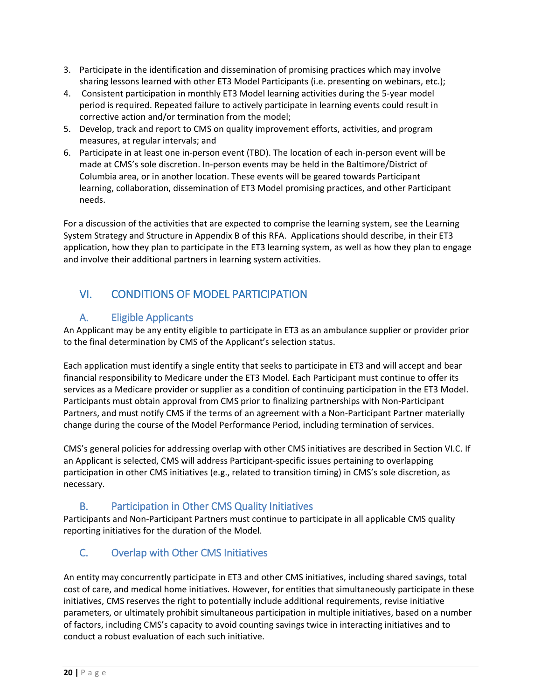- 3. Participate in the identification and dissemination of promising practices which may involve sharing lessons learned with other ET3 Model Participants (i.e. presenting on webinars, etc.);
- 4. Consistent participation in monthly ET3 Model learning activities during the 5-year model period is required. Repeated failure to actively participate in learning events could result in corrective action and/or termination from the model;
- 5. Develop, track and report to CMS on quality improvement efforts, activities, and program measures, at regular intervals; and
- 6. Participate in at least one in-person event (TBD). The location of each in-person event will be made at CMS's sole discretion. In-person events may be held in the Baltimore/District of Columbia area, or in another location. These events will be geared towards Participant learning, collaboration, dissemination of ET3 Model promising practices, and other Participant needs.

For a discussion of the activities that are expected to comprise the learning system, see the Learning System Strategy and Structure in Appendix B of this RFA. Applications should describe, in their ET3 application, how they plan to participate in the ET3 learning system, as well as how they plan to engage and involve their additional partners in learning system activities.

# <span id="page-19-0"></span>VI. CONDITIONS OF MODEL PARTICIPATION

# <span id="page-19-1"></span>A. Eligible Applicants

An Applicant may be any entity eligible to participate in ET3 as an ambulance supplier or provider prior to the final determination by CMS of the Applicant's selection status.

Each application must identify a single entity that seeks to participate in ET3 and will accept and bear financial responsibility to Medicare under the ET3 Model. Each Participant must continue to offer its services as a Medicare provider or supplier as a condition of continuing participation in the ET3 Model. Participants must obtain approval from CMS prior to finalizing partnerships with Non-Participant Partners, and must notify CMS if the terms of an agreement with a Non-Participant Partner materially change during the course of the Model Performance Period, including termination of services.

CMS's general policies for addressing overlap with other CMS initiatives are described in Section VI.C. If an Applicant is selected, CMS will address Participant-specific issues pertaining to overlapping participation in other CMS initiatives (e.g., related to transition timing) in CMS's sole discretion, as necessary.

# <span id="page-19-2"></span>B. Participation in Other CMS Quality Initiatives

Participants and Non-Participant Partners must continue to participate in all applicable CMS quality reporting initiatives for the duration of the Model.

# <span id="page-19-3"></span>C. Overlap with Other CMS Initiatives

An entity may concurrently participate in ET3 and other CMS initiatives, including shared savings, total cost of care, and medical home initiatives. However, for entities that simultaneously participate in these initiatives, CMS reserves the right to potentially include additional requirements, revise initiative parameters, or ultimately prohibit simultaneous participation in multiple initiatives, based on a number of factors, including CMS's capacity to avoid counting savings twice in interacting initiatives and to conduct a robust evaluation of each such initiative.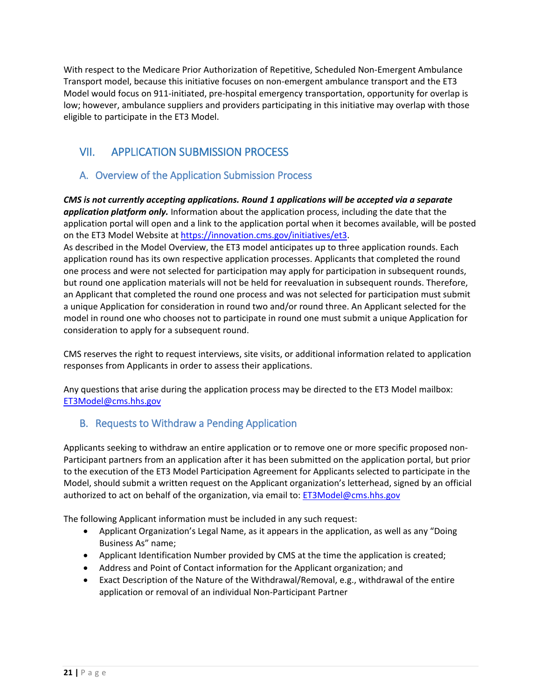With respect to the Medicare Prior Authorization of Repetitive, Scheduled Non-Emergent Ambulance Transport model, because this initiative focuses on non-emergent ambulance transport and the ET3 Model would focus on 911-initiated, pre-hospital emergency transportation, opportunity for overlap is low; however, ambulance suppliers and providers participating in this initiative may overlap with those eligible to participate in the ET3 Model.

# <span id="page-20-0"></span>VII. APPLICATION SUBMISSION PROCESS

# <span id="page-20-1"></span>A. Overview of the Application Submission Process

*CMS is not currently accepting applications. Round 1 applications will be accepted via a separate application platform only.* Information about the application process, including the date that the application portal will open and a link to the application portal when it becomes available, will be posted on the ET3 Model Website a[t https://innovation.cms.gov/initiatives/et3.](https://innovation.cms.gov/initiatives/et3)

As described in the Model Overview, the ET3 model anticipates up to three application rounds. Each application round has its own respective application processes. Applicants that completed the round one process and were not selected for participation may apply for participation in subsequent rounds, but round one application materials will not be held for reevaluation in subsequent rounds. Therefore, an Applicant that completed the round one process and was not selected for participation must submit a unique Application for consideration in round two and/or round three. An Applicant selected for the model in round one who chooses not to participate in round one must submit a unique Application for consideration to apply for a subsequent round.

CMS reserves the right to request interviews, site visits, or additional information related to application responses from Applicants in order to assess their applications.

Any questions that arise during the application process may be directed to the ET3 Model mailbox: [ET3Model@cms.hhs.gov](mailto:ET3Model@cms.hhs.gov) 

# <span id="page-20-2"></span>B. Requests to Withdraw a Pending Application

Applicants seeking to withdraw an entire application or to remove one or more specific proposed non-Participant partners from an application after it has been submitted on the application portal, but prior to the execution of the ET3 Model Participation Agreement for Applicants selected to participate in the Model, should submit a written request on the Applicant organization's letterhead, signed by an official authorized to act on behalf of the organization, via email to: ET3Model@cms.hhs.gov

The following Applicant information must be included in any such request:

- Applicant Organization's Legal Name, as it appears in the application, as well as any "Doing Business As" name;
- Applicant Identification Number provided by CMS at the time the application is created;
- Address and Point of Contact information for the Applicant organization; and
- Exact Description of the Nature of the Withdrawal/Removal, e.g., withdrawal of the entire application or removal of an individual Non-Participant Partner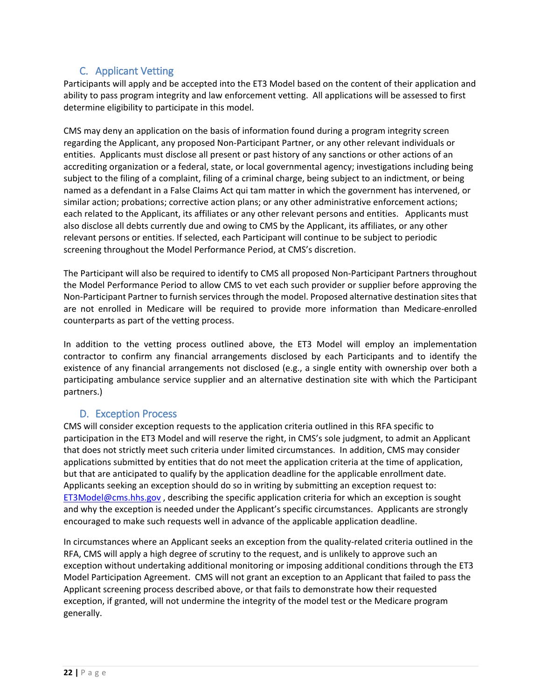# C. Applicant Vetting

<span id="page-21-0"></span>Participants will apply and be accepted into the ET3 Model based on the content of their application and ability to pass program integrity and law enforcement vetting. All applications will be assessed to first determine eligibility to participate in this model.

CMS may deny an application on the basis of information found during a program integrity screen regarding the Applicant, any proposed Non-Participant Partner, or any other relevant individuals or entities. Applicants must disclose all present or past history of any sanctions or other actions of an accrediting organization or a federal, state, or local governmental agency; investigations including being subject to the filing of a complaint, filing of a criminal charge, being subject to an indictment, or being named as a defendant in a False Claims Act qui tam matter in which the government has intervened, or similar action; probations; corrective action plans; or any other administrative enforcement actions; each related to the Applicant, its affiliates or any other relevant persons and entities. Applicants must also disclose all debts currently due and owing to CMS by the Applicant, its affiliates, or any other relevant persons or entities. If selected, each Participant will continue to be subject to periodic screening throughout the Model Performance Period, at CMS's discretion.

The Participant will also be required to identify to CMS all proposed Non-Participant Partners throughout the Model Performance Period to allow CMS to vet each such provider or supplier before approving the Non-Participant Partner to furnish services through the model. Proposed alternative destination sites that are not enrolled in Medicare will be required to provide more information than Medicare-enrolled counterparts as part of the vetting process.

In addition to the vetting process outlined above, the ET3 Model will employ an implementation contractor to confirm any financial arrangements disclosed by each Participants and to identify the existence of any financial arrangements not disclosed (e.g., a single entity with ownership over both a participating ambulance service supplier and an alternative destination site with which the Participant partners.)

### <span id="page-21-1"></span>D. Exception Process

CMS will consider exception requests to the application criteria outlined in this RFA specific to participation in the ET3 Model and will reserve the right, in CMS's sole judgment, to admit an Applicant that does not strictly meet such criteria under limited circumstances. In addition, CMS may consider applications submitted by entities that do not meet the application criteria at the time of application, but that are anticipated to qualify by the application deadline for the applicable enrollment date. Applicants seeking an exception should do so in writing by submitting an exception request to: [ET3Model@cms.hhs.gov](mailto:ET3Model@cms.hhs.gov) , describing the specific application criteria for which an exception is sought and why the exception is needed under the Applicant's specific circumstances. Applicants are strongly encouraged to make such requests well in advance of the applicable application deadline.

In circumstances where an Applicant seeks an exception from the quality-related criteria outlined in the RFA, CMS will apply a high degree of scrutiny to the request, and is unlikely to approve such an exception without undertaking additional monitoring or imposing additional conditions through the ET3 Model Participation Agreement. CMS will not grant an exception to an Applicant that failed to pass the Applicant screening process described above, or that fails to demonstrate how their requested exception, if granted, will not undermine the integrity of the model test or the Medicare program generally.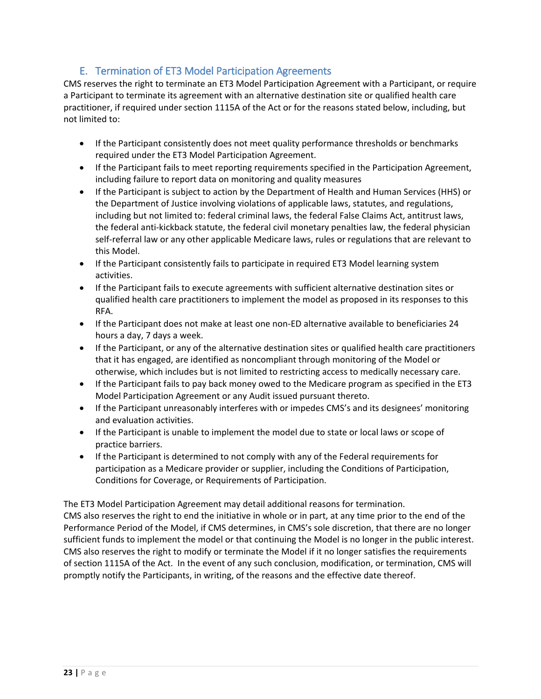# E. Termination of ET3 Model Participation Agreements

<span id="page-22-0"></span>CMS reserves the right to terminate an ET3 Model Participation Agreement with a Participant, or require a Participant to terminate its agreement with an alternative destination site or qualified health care practitioner, if required under section 1115A of the Act or for the reasons stated below, including, but not limited to:

- If the Participant consistently does not meet quality performance thresholds or benchmarks required under the ET3 Model Participation Agreement.
- If the Participant fails to meet reporting requirements specified in the Participation Agreement, including failure to report data on monitoring and quality measures
- If the Participant is subject to action by the Department of Health and Human Services (HHS) or the Department of Justice involving violations of applicable laws, statutes, and regulations, including but not limited to: federal criminal laws, the federal False Claims Act, antitrust laws, the federal anti-kickback statute, the federal civil monetary penalties law, the federal physician self-referral law or any other applicable Medicare laws, rules or regulations that are relevant to this Model.
- If the Participant consistently fails to participate in required ET3 Model learning system activities.
- If the Participant fails to execute agreements with sufficient alternative destination sites or qualified health care practitioners to implement the model as proposed in its responses to this RFA.
- If the Participant does not make at least one non-ED alternative available to beneficiaries 24 hours a day, 7 days a week.
- If the Participant, or any of the alternative destination sites or qualified health care practitioners that it has engaged, are identified as noncompliant through monitoring of the Model or otherwise, which includes but is not limited to restricting access to medically necessary care.
- If the Participant fails to pay back money owed to the Medicare program as specified in the ET3 Model Participation Agreement or any Audit issued pursuant thereto.
- If the Participant unreasonably interferes with or impedes CMS's and its designees' monitoring and evaluation activities.
- If the Participant is unable to implement the model due to state or local laws or scope of practice barriers.
- If the Participant is determined to not comply with any of the Federal requirements for participation as a Medicare provider or supplier, including the Conditions of Participation, Conditions for Coverage, or Requirements of Participation.

The ET3 Model Participation Agreement may detail additional reasons for termination.

CMS also reserves the right to end the initiative in whole or in part, at any time prior to the end of the Performance Period of the Model, if CMS determines, in CMS's sole discretion, that there are no longer sufficient funds to implement the model or that continuing the Model is no longer in the public interest. CMS also reserves the right to modify or terminate the Model if it no longer satisfies the requirements of section 1115A of the Act. In the event of any such conclusion, modification, or termination, CMS will promptly notify the Participants, in writing, of the reasons and the effective date thereof.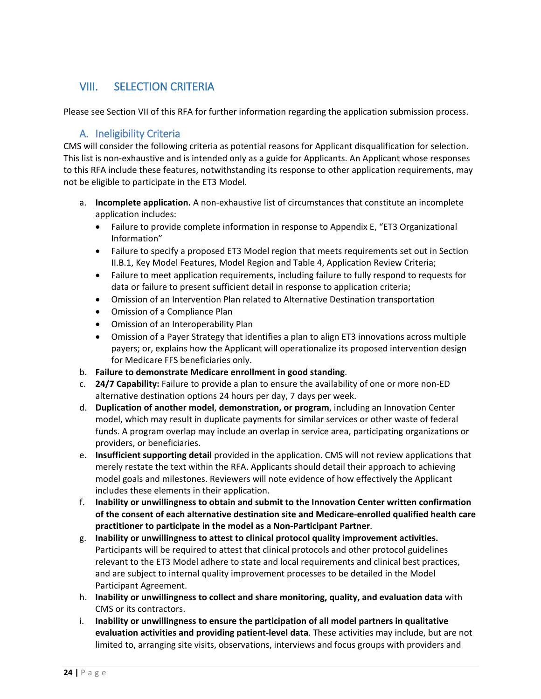# <span id="page-23-0"></span>VIII. SELECTION CRITERIA

<span id="page-23-1"></span>Please see Section VII of this RFA for further information regarding the application submission process.

# A. Ineligibility Criteria

CMS will consider the following criteria as potential reasons for Applicant disqualification for selection. This list is non-exhaustive and is intended only as a guide for Applicants. An Applicant whose responses to this RFA include these features, notwithstanding its response to other application requirements, may not be eligible to participate in the ET3 Model.

- a. **Incomplete application.** A non-exhaustive list of circumstances that constitute an incomplete application includes:
	- Failure to provide complete information in response to Appendix E, "ET3 Organizational Information"
	- Failure to specify a proposed ET3 Model region that meets requirements set out in Section II.B.1, Key Model Features, Model Region and Table 4, Application Review Criteria;
	- Failure to meet application requirements, including failure to fully respond to requests for data or failure to present sufficient detail in response to application criteria;
	- Omission of an Intervention Plan related to Alternative Destination transportation
	- Omission of a Compliance Plan
	- Omission of an Interoperability Plan
	- Omission of a Payer Strategy that identifies a plan to align ET3 innovations across multiple payers; or, explains how the Applicant will operationalize its proposed intervention design for Medicare FFS beneficiaries only.
- b. **Failure to demonstrate Medicare enrollment in good standing**.
- c. **24/7 Capability:** Failure to provide a plan to ensure the availability of one or more non-ED alternative destination options 24 hours per day, 7 days per week.
- d. **Duplication of another model**, **demonstration, or program**, including an Innovation Center model, which may result in duplicate payments for similar services or other waste of federal funds. A program overlap may include an overlap in service area, participating organizations or providers, or beneficiaries.
- e. **Insufficient supporting detail** provided in the application. CMS will not review applications that merely restate the text within the RFA. Applicants should detail their approach to achieving model goals and milestones. Reviewers will note evidence of how effectively the Applicant includes these elements in their application.
- f. **Inability or unwillingness to obtain and submit to the Innovation Center written confirmation of the consent of each alternative destination site and Medicare-enrolled qualified health care practitioner to participate in the model as a Non-Participant Partner**.
- g. **Inability or unwillingness to attest to clinical protocol quality improvement activities.**  Participants will be required to attest that clinical protocols and other protocol guidelines relevant to the ET3 Model adhere to state and local requirements and clinical best practices, and are subject to internal quality improvement processes to be detailed in the Model Participant Agreement.
- h. **Inability or unwillingness to collect and share monitoring, quality, and evaluation data** with CMS or its contractors.
- i. **Inability or unwillingness to ensure the participation of all model partners in qualitative evaluation activities and providing patient-level data**. These activities may include, but are not limited to, arranging site visits, observations, interviews and focus groups with providers and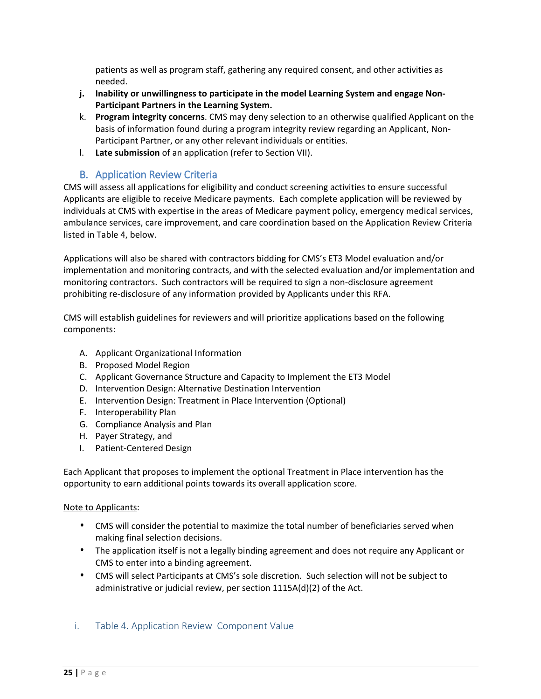patients as well as program staff, gathering any required consent, and other activities as needed.

- **j. Inability or unwillingness to participate in the model Learning System and engage Non-Participant Partners in the Learning System.**
- k. **Program integrity concerns**. CMS may deny selection to an otherwise qualified Applicant on the basis of information found during a program integrity review regarding an Applicant, Non-Participant Partner, or any other relevant individuals or entities.
- l. **Late submission** of an application (refer to Section VII).

### <span id="page-24-0"></span>B. Application Review Criteria

CMS will assess all applications for eligibility and conduct screening activities to ensure successful Applicants are eligible to receive Medicare payments. Each complete application will be reviewed by individuals at CMS with expertise in the areas of Medicare payment policy, emergency medical services, ambulance services, care improvement, and care coordination based on the Application Review Criteria listed in Table 4, below.

Applications will also be shared with contractors bidding for CMS's ET3 Model evaluation and/or implementation and monitoring contracts, and with the selected evaluation and/or implementation and monitoring contractors. Such contractors will be required to sign a non-disclosure agreement prohibiting re-disclosure of any information provided by Applicants under this RFA.

CMS will establish guidelines for reviewers and will prioritize applications based on the following components:

- A. Applicant Organizational Information
- B. Proposed Model Region
- C. Applicant Governance Structure and Capacity to Implement the ET3 Model
- D. Intervention Design: Alternative Destination Intervention
- E. Intervention Design: Treatment in Place Intervention (Optional)
- F. Interoperability Plan
- G. Compliance Analysis and Plan
- H. Payer Strategy, and
- I. Patient-Centered Design

Each Applicant that proposes to implement the optional Treatment in Place intervention has the opportunity to earn additional points towards its overall application score.

### Note to Applicants:

- CMS will consider the potential to maximize the total number of beneficiaries served when making final selection decisions.
- The application itself is not a legally binding agreement and does not require any Applicant or CMS to enter into a binding agreement.
- CMS will select Participants at CMS's sole discretion. Such selection will not be subject to administrative or judicial review, per section 1115A(d)(2) of the Act.

### <span id="page-24-1"></span>i. Table 4. Application Review Component Value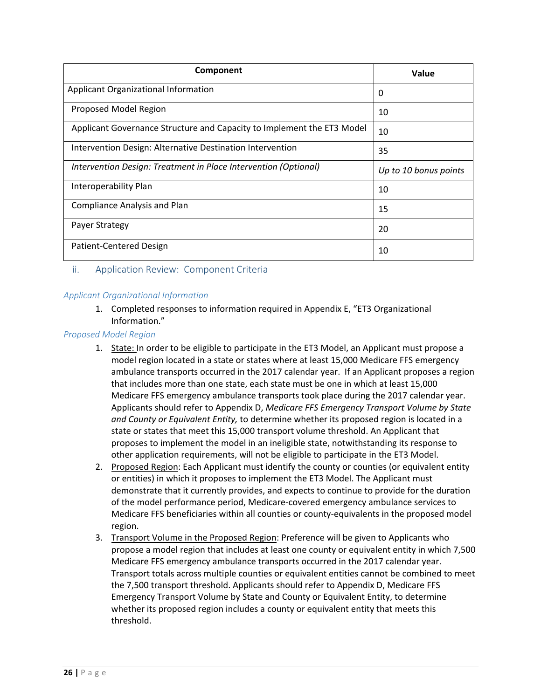| Component                                                              | Value                 |
|------------------------------------------------------------------------|-----------------------|
| Applicant Organizational Information                                   | 0                     |
| Proposed Model Region                                                  | 10                    |
| Applicant Governance Structure and Capacity to Implement the ET3 Model | 10                    |
| Intervention Design: Alternative Destination Intervention              | 35                    |
| Intervention Design: Treatment in Place Intervention (Optional)        | Up to 10 bonus points |
| Interoperability Plan                                                  | 10                    |
| <b>Compliance Analysis and Plan</b>                                    | 15                    |
| Payer Strategy                                                         | 20                    |
| Patient-Centered Design                                                | 10                    |

#### <span id="page-25-0"></span>ii. Application Review: Component Criteria

#### *Applicant Organizational Information*

1. Completed responses to information required in Appendix E, "ET3 Organizational Information."

#### *Proposed Model Region*

- 1. State: In order to be eligible to participate in the ET3 Model, an Applicant must propose a model region located in a state or states where at least 15,000 Medicare FFS emergency ambulance transports occurred in the 2017 calendar year. If an Applicant proposes a region that includes more than one state, each state must be one in which at least 15,000 Medicare FFS emergency ambulance transports took place during the 2017 calendar year. Applicants should refer to Appendix D, *Medicare FFS Emergency Transport Volume by State and County or Equivalent Entity,* to determine whether its proposed region is located in a state or states that meet this 15,000 transport volume threshold. An Applicant that proposes to implement the model in an ineligible state, notwithstanding its response to other application requirements, will not be eligible to participate in the ET3 Model.
- 2. Proposed Region: Each Applicant must identify the county or counties (or equivalent entity or entities) in which it proposes to implement the ET3 Model. The Applicant must demonstrate that it currently provides, and expects to continue to provide for the duration of the model performance period, Medicare-covered emergency ambulance services to Medicare FFS beneficiaries within all counties or county-equivalents in the proposed model region.
- 3. Transport Volume in the Proposed Region: Preference will be given to Applicants who propose a model region that includes at least one county or equivalent entity in which 7,500 Medicare FFS emergency ambulance transports occurred in the 2017 calendar year. Transport totals across multiple counties or equivalent entities cannot be combined to meet the 7,500 transport threshold. Applicants should refer to Appendix D, Medicare FFS Emergency Transport Volume by State and County or Equivalent Entity, to determine whether its proposed region includes a county or equivalent entity that meets this threshold.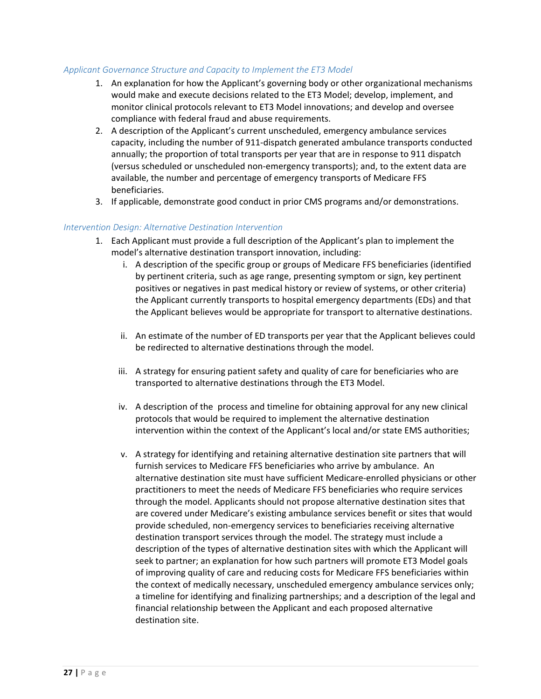#### *Applicant Governance Structure and Capacity to Implement the ET3 Model*

- 1. An explanation for how the Applicant's governing body or other organizational mechanisms would make and execute decisions related to the ET3 Model; develop, implement, and monitor clinical protocols relevant to ET3 Model innovations; and develop and oversee compliance with federal fraud and abuse requirements.
- 2. A description of the Applicant's current unscheduled, emergency ambulance services capacity, including the number of 911-dispatch generated ambulance transports conducted annually; the proportion of total transports per year that are in response to 911 dispatch (versus scheduled or unscheduled non-emergency transports); and, to the extent data are available, the number and percentage of emergency transports of Medicare FFS beneficiaries.
- 3. If applicable, demonstrate good conduct in prior CMS programs and/or demonstrations.

#### *Intervention Design: Alternative Destination Intervention*

- 1. Each Applicant must provide a full description of the Applicant's plan to implement the model's alternative destination transport innovation, including:
	- i. A description of the specific group or groups of Medicare FFS beneficiaries (identified by pertinent criteria, such as age range, presenting symptom or sign, key pertinent positives or negatives in past medical history or review of systems, or other criteria) the Applicant currently transports to hospital emergency departments (EDs) and that the Applicant believes would be appropriate for transport to alternative destinations.
	- ii. An estimate of the number of ED transports per year that the Applicant believes could be redirected to alternative destinations through the model.
	- iii. A strategy for ensuring patient safety and quality of care for beneficiaries who are transported to alternative destinations through the ET3 Model.
	- iv. A description of the process and timeline for obtaining approval for any new clinical protocols that would be required to implement the alternative destination intervention within the context of the Applicant's local and/or state EMS authorities;
	- v. A strategy for identifying and retaining alternative destination site partners that will furnish services to Medicare FFS beneficiaries who arrive by ambulance. An alternative destination site must have sufficient Medicare-enrolled physicians or other practitioners to meet the needs of Medicare FFS beneficiaries who require services through the model. Applicants should not propose alternative destination sites that are covered under Medicare's existing ambulance services benefit or sites that would provide scheduled, non-emergency services to beneficiaries receiving alternative destination transport services through the model. The strategy must include a description of the types of alternative destination sites with which the Applicant will seek to partner; an explanation for how such partners will promote ET3 Model goals of improving quality of care and reducing costs for Medicare FFS beneficiaries within the context of medically necessary, unscheduled emergency ambulance services only; a timeline for identifying and finalizing partnerships; and a description of the legal and financial relationship between the Applicant and each proposed alternative destination site.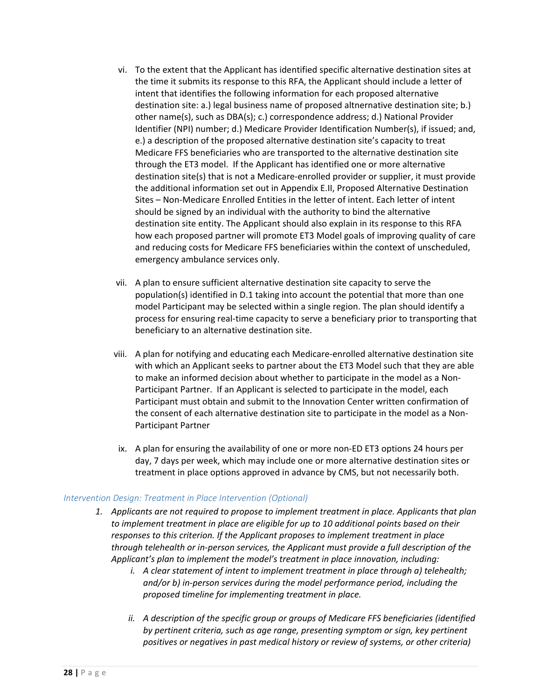- vi. To the extent that the Applicant has identified specific alternative destination sites at the time it submits its response to this RFA, the Applicant should include a letter of intent that identifies the following information for each proposed alternative destination site: a.) legal business name of proposed altnernative destination site; b.) other name(s), such as DBA(s); c.) correspondence address; d.) National Provider Identifier (NPI) number; d.) Medicare Provider Identification Number(s), if issued; and, e.) a description of the proposed alternative destination site's capacity to treat Medicare FFS beneficiaries who are transported to the alternative destination site through the ET3 model. If the Applicant has identified one or more alternative destination site(s) that is not a Medicare-enrolled provider or supplier, it must provide the additional information set out in Appendix E.II, Proposed Alternative Destination Sites – Non-Medicare Enrolled Entities in the letter of intent. Each letter of intent should be signed by an individual with the authority to bind the alternative destination site entity. The Applicant should also explain in its response to this RFA how each proposed partner will promote ET3 Model goals of improving quality of care and reducing costs for Medicare FFS beneficiaries within the context of unscheduled, emergency ambulance services only.
- vii. A plan to ensure sufficient alternative destination site capacity to serve the population(s) identified in D.1 taking into account the potential that more than one model Participant may be selected within a single region. The plan should identify a process for ensuring real-time capacity to serve a beneficiary prior to transporting that beneficiary to an alternative destination site.
- viii. A plan for notifying and educating each Medicare-enrolled alternative destination site with which an Applicant seeks to partner about the ET3 Model such that they are able to make an informed decision about whether to participate in the model as a Non-Participant Partner. If an Applicant is selected to participate in the model, each Participant must obtain and submit to the Innovation Center written confirmation of the consent of each alternative destination site to participate in the model as a Non-Participant Partner
- ix. A plan for ensuring the availability of one or more non-ED ET3 options 24 hours per day, 7 days per week, which may include one or more alternative destination sites or treatment in place options approved in advance by CMS, but not necessarily both.

#### *Intervention Design: Treatment in Place Intervention (Optional)*

- *1. Applicants are not required to propose to implement treatment in place. Applicants that plan to implement treatment in place are eligible for up to 10 additional points based on their responses to this criterion. If the Applicant proposes to implement treatment in place through telehealth or in-person services, the Applicant must provide a full description of the Applicant's plan to implement the model's treatment in place innovation, including:*
	- *i. A clear statement of intent to implement treatment in place through a) telehealth; and/or b) in-person services during the model performance period, including the proposed timeline for implementing treatment in place.*
	- *ii. A description of the specific group or groups of Medicare FFS beneficiaries (identified by pertinent criteria, such as age range, presenting symptom or sign, key pertinent positives or negatives in past medical history or review of systems, or other criteria)*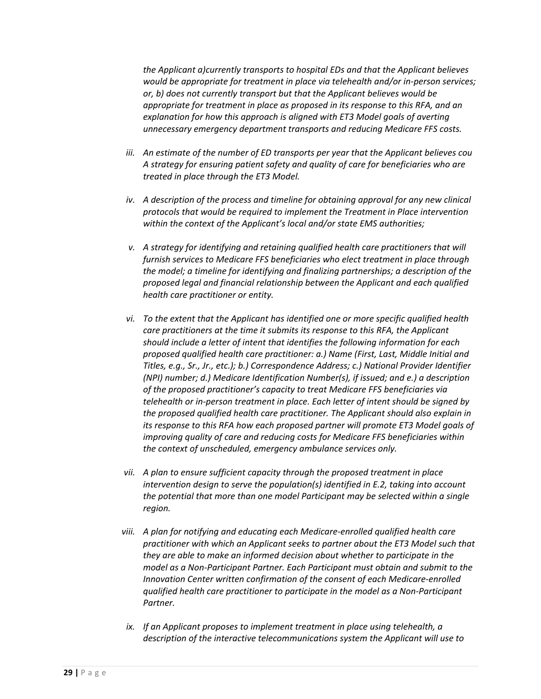*the Applicant a)currently transports to hospital EDs and that the Applicant believes would be appropriate for treatment in place via telehealth and/or in-person services; or, b) does not currently transport but that the Applicant believes would be appropriate for treatment in place as proposed in its response to this RFA, and an explanation for how this approach is aligned with ET3 Model goals of averting unnecessary emergency department transports and reducing Medicare FFS costs.*

- *iii. An estimate of the number of ED transports per year that the Applicant believes cou A strategy for ensuring patient safety and quality of care for beneficiaries who are treated in place through the ET3 Model.*
- *iv.* A description of the process and timeline for obtaining approval for any new clinical *protocols that would be required to implement the Treatment in Place intervention within the context of the Applicant's local and/or state EMS authorities;*
- *v. A strategy for identifying and retaining qualified health care practitioners that will furnish services to Medicare FFS beneficiaries who elect treatment in place through the model; a timeline for identifying and finalizing partnerships; a description of the proposed legal and financial relationship between the Applicant and each qualified health care practitioner or entity.*
- *vi. To the extent that the Applicant has identified one or more specific qualified health care practitioners at the time it submits its response to this RFA, the Applicant should include a letter of intent that identifies the following information for each proposed qualified health care practitioner: a.) Name (First, Last, Middle Initial and Titles, e.g., Sr., Jr., etc.); b.) Correspondence Address; c.) National Provider Identifier (NPI) number; d.) Medicare Identification Number(s), if issued; and e.) a description of the proposed practitioner's capacity to treat Medicare FFS beneficiaries via telehealth or in-person treatment in place. Each letter of intent should be signed by the proposed qualified health care practitioner. The Applicant should also explain in its response to this RFA how each proposed partner will promote ET3 Model goals of improving quality of care and reducing costs for Medicare FFS beneficiaries within the context of unscheduled, emergency ambulance services only.*
- *vii. A plan to ensure sufficient capacity through the proposed treatment in place intervention design to serve the population(s) identified in E.2, taking into account the potential that more than one model Participant may be selected within a single region.*
- *viii. A plan for notifying and educating each Medicare-enrolled qualified health care practitioner with which an Applicant seeks to partner about the ET3 Model such that they are able to make an informed decision about whether to participate in the model as a Non-Participant Partner. Each Participant must obtain and submit to the Innovation Center written confirmation of the consent of each Medicare-enrolled qualified health care practitioner to participate in the model as a Non-Participant Partner.*
- *ix. If an Applicant proposes to implement treatment in place using telehealth, a description of the interactive telecommunications system the Applicant will use to*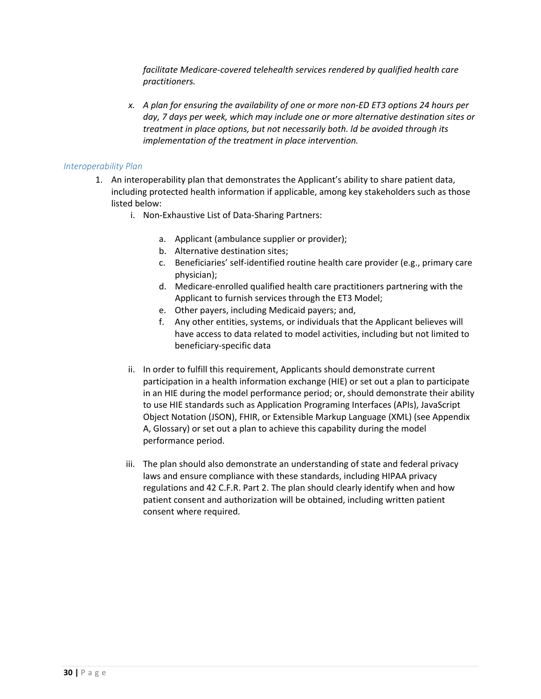*facilitate Medicare-covered telehealth services rendered by qualified health care practitioners.* 

*x. A plan for ensuring the availability of one or more non-ED ET3 options 24 hours per day, 7 days per week, which may include one or more alternative destination sites or treatment in place options, but not necessarily both. ld be avoided through its implementation of the treatment in place intervention.*

#### *Interoperability Plan*

- 1. An interoperability plan that demonstrates the Applicant's ability to share patient data, including protected health information if applicable, among key stakeholders such as those listed below:
	- i. Non-Exhaustive List of Data-Sharing Partners:
		- a. Applicant (ambulance supplier or provider);
		- b. Alternative destination sites;
		- c. Beneficiaries' self-identified routine health care provider (e.g., primary care physician);
		- d. Medicare-enrolled qualified health care practitioners partnering with the Applicant to furnish services through the ET3 Model;
		- e. Other payers, including Medicaid payers; and,
		- f. Any other entities, systems, or individuals that the Applicant believes will have access to data related to model activities, including but not limited to beneficiary-specific data
	- ii. In order to fulfill this requirement, Applicants should demonstrate current participation in a health information exchange (HIE) or set out a plan to participate in an HIE during the model performance period; or, should demonstrate their ability to use HIE standards such as Application Programing Interfaces (APIs), JavaScript Object Notation (JSON), FHIR, or Extensible Markup Language (XML) (see Appendix A, Glossary) or set out a plan to achieve this capability during the model performance period.
	- iii. The plan should also demonstrate an understanding of state and federal privacy laws and ensure compliance with these standards, including HIPAA privacy regulations and 42 C.F.R. Part 2. The plan should clearly identify when and how patient consent and authorization will be obtained, including written patient consent where required.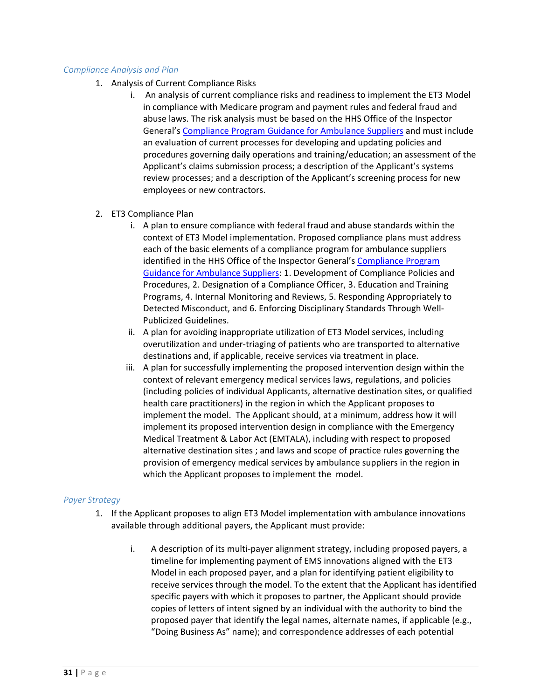#### *Compliance Analysis and Plan*

- 1. Analysis of Current Compliance Risks
	- i. An analysis of current compliance risks and readiness to implement the ET3 Model in compliance with Medicare program and payment rules and federal fraud and abuse laws. The risk analysis must be based on the HHS Office of the Inspector General's [Compliance Program Guidance for Ambulance Suppliers](https://oig.hhs.gov/fraud/docs/complianceguidance/032403ambulancecpgfr.pdf) and must include an evaluation of current processes for developing and updating policies and procedures governing daily operations and training/education; an assessment of the Applicant's claims submission process; a description of the Applicant's systems review processes; and a description of the Applicant's screening process for new employees or new contractors.
- 2. ET3 Compliance Plan
	- i. A plan to ensure compliance with federal fraud and abuse standards within the context of ET3 Model implementation. Proposed compliance plans must address each of the basic elements of a compliance program for ambulance suppliers identified in the HHS Office of the Inspector General'[s Compliance Program](https://oig.hhs.gov/fraud/docs/complianceguidance/032403ambulancecpgfr.pdf)  [Guidance for Ambulance Suppliers:](https://oig.hhs.gov/fraud/docs/complianceguidance/032403ambulancecpgfr.pdf) 1. Development of Compliance Policies and Procedures, 2. Designation of a Compliance Officer, 3. Education and Training Programs, 4. Internal Monitoring and Reviews, 5. Responding Appropriately to Detected Misconduct, and 6. Enforcing Disciplinary Standards Through Well-Publicized Guidelines.
	- ii. A plan for avoiding inappropriate utilization of ET3 Model services, including overutilization and under-triaging of patients who are transported to alternative destinations and, if applicable, receive services via treatment in place.
	- iii. A plan for successfully implementing the proposed intervention design within the context of relevant emergency medical services laws, regulations, and policies (including policies of individual Applicants, alternative destination sites, or qualified health care practitioners) in the region in which the Applicant proposes to implement the model. The Applicant should, at a minimum, address how it will implement its proposed intervention design in compliance with the Emergency Medical Treatment & Labor Act (EMTALA), including with respect to proposed alternative destination sites ; and laws and scope of practice rules governing the provision of emergency medical services by ambulance suppliers in the region in which the Applicant proposes to implement the model.

#### *Payer Strategy*

- 1. If the Applicant proposes to align ET3 Model implementation with ambulance innovations available through additional payers, the Applicant must provide:
	- i. A description of its multi-payer alignment strategy, including proposed payers, a timeline for implementing payment of EMS innovations aligned with the ET3 Model in each proposed payer, and a plan for identifying patient eligibility to receive services through the model. To the extent that the Applicant has identified specific payers with which it proposes to partner, the Applicant should provide copies of letters of intent signed by an individual with the authority to bind the proposed payer that identify the legal names, alternate names, if applicable (e.g., "Doing Business As" name); and correspondence addresses of each potential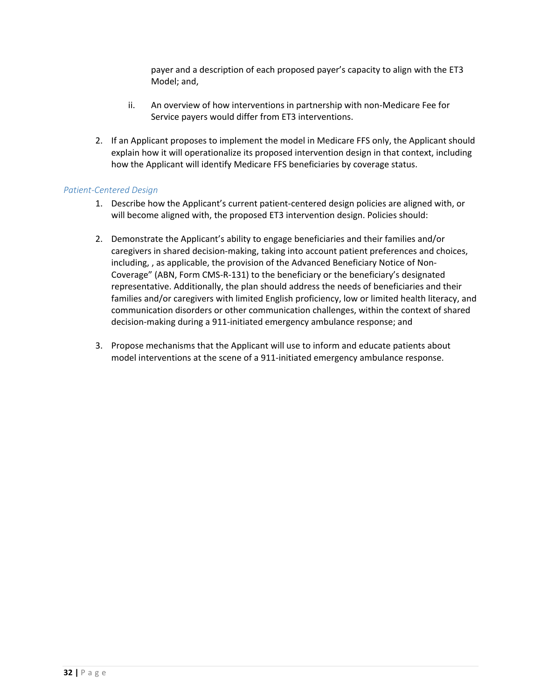payer and a description of each proposed payer's capacity to align with the ET3 Model; and,

- ii. An overview of how interventions in partnership with non-Medicare Fee for Service payers would differ from ET3 interventions.
- 2. If an Applicant proposes to implement the model in Medicare FFS only, the Applicant should explain how it will operationalize its proposed intervention design in that context, including how the Applicant will identify Medicare FFS beneficiaries by coverage status.

#### *Patient-Centered Design*

- 1. Describe how the Applicant's current patient-centered design policies are aligned with, or will become aligned with, the proposed ET3 intervention design. Policies should:
- 2. Demonstrate the Applicant's ability to engage beneficiaries and their families and/or caregivers in shared decision-making, taking into account patient preferences and choices, including, , as applicable, the provision of the Advanced Beneficiary Notice of Non-Coverage" (ABN, Form CMS-R-131) to the beneficiary or the beneficiary's designated representative. Additionally, the plan should address the needs of beneficiaries and their families and/or caregivers with limited English proficiency, low or limited health literacy, and communication disorders or other communication challenges, within the context of shared decision-making during a 911-initiated emergency ambulance response; and
- 3. Propose mechanisms that the Applicant will use to inform and educate patients about model interventions at the scene of a 911-initiated emergency ambulance response.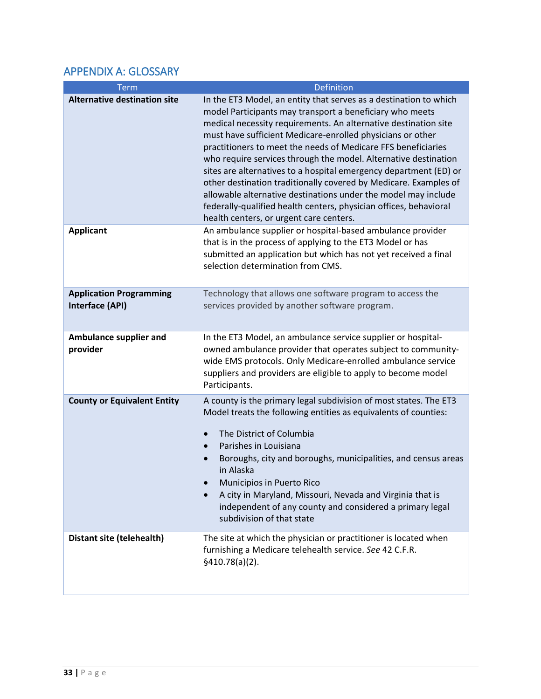# <span id="page-32-0"></span>APPENDIX A: GLOSSARY

| Term                                              | <b>Definition</b>                                                                                                                                                                                                                                                                                                                                                                                                                                                                                                                                                                                                                                                                                                             |
|---------------------------------------------------|-------------------------------------------------------------------------------------------------------------------------------------------------------------------------------------------------------------------------------------------------------------------------------------------------------------------------------------------------------------------------------------------------------------------------------------------------------------------------------------------------------------------------------------------------------------------------------------------------------------------------------------------------------------------------------------------------------------------------------|
| <b>Alternative destination site</b>               | In the ET3 Model, an entity that serves as a destination to which<br>model Participants may transport a beneficiary who meets<br>medical necessity requirements. An alternative destination site<br>must have sufficient Medicare-enrolled physicians or other<br>practitioners to meet the needs of Medicare FFS beneficiaries<br>who require services through the model. Alternative destination<br>sites are alternatives to a hospital emergency department (ED) or<br>other destination traditionally covered by Medicare. Examples of<br>allowable alternative destinations under the model may include<br>federally-qualified health centers, physician offices, behavioral<br>health centers, or urgent care centers. |
| <b>Applicant</b>                                  | An ambulance supplier or hospital-based ambulance provider<br>that is in the process of applying to the ET3 Model or has<br>submitted an application but which has not yet received a final<br>selection determination from CMS.                                                                                                                                                                                                                                                                                                                                                                                                                                                                                              |
| <b>Application Programming</b><br>Interface (API) | Technology that allows one software program to access the<br>services provided by another software program.                                                                                                                                                                                                                                                                                                                                                                                                                                                                                                                                                                                                                   |
| Ambulance supplier and<br>provider                | In the ET3 Model, an ambulance service supplier or hospital-<br>owned ambulance provider that operates subject to community-<br>wide EMS protocols. Only Medicare-enrolled ambulance service<br>suppliers and providers are eligible to apply to become model<br>Participants.                                                                                                                                                                                                                                                                                                                                                                                                                                                |
| <b>County or Equivalent Entity</b>                | A county is the primary legal subdivision of most states. The ET3<br>Model treats the following entities as equivalents of counties:<br>The District of Columbia<br>Parishes in Louisiana<br>$\bullet$<br>Boroughs, city and boroughs, municipalities, and census areas<br>in Alaska<br>Municipios in Puerto Rico<br>A city in Maryland, Missouri, Nevada and Virginia that is<br>independent of any county and considered a primary legal<br>subdivision of that state                                                                                                                                                                                                                                                       |
| Distant site (telehealth)                         | The site at which the physician or practitioner is located when<br>furnishing a Medicare telehealth service. See 42 C.F.R.<br>§410.78(a)(2).                                                                                                                                                                                                                                                                                                                                                                                                                                                                                                                                                                                  |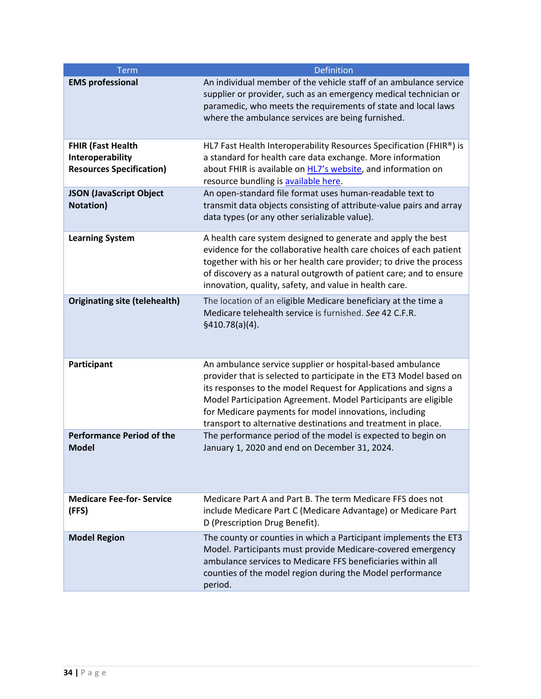| <b>Term</b>                                                                     | Definition                                                                                                                                                                                                                                                                                                                                                                                      |
|---------------------------------------------------------------------------------|-------------------------------------------------------------------------------------------------------------------------------------------------------------------------------------------------------------------------------------------------------------------------------------------------------------------------------------------------------------------------------------------------|
| <b>EMS professional</b>                                                         | An individual member of the vehicle staff of an ambulance service<br>supplier or provider, such as an emergency medical technician or<br>paramedic, who meets the requirements of state and local laws<br>where the ambulance services are being furnished.                                                                                                                                     |
| <b>FHIR (Fast Health</b><br>Interoperability<br><b>Resources Specification)</b> | HL7 Fast Health Interoperability Resources Specification (FHIR®) is<br>a standard for health care data exchange. More information<br>about FHIR is available on HL7's website, and information on<br>resource bundling is available here.                                                                                                                                                       |
| <b>JSON (JavaScript Object</b><br>Notation)                                     | An open-standard file format uses human-readable text to<br>transmit data objects consisting of attribute-value pairs and array<br>data types (or any other serializable value).                                                                                                                                                                                                                |
| <b>Learning System</b>                                                          | A health care system designed to generate and apply the best<br>evidence for the collaborative health care choices of each patient<br>together with his or her health care provider; to drive the process<br>of discovery as a natural outgrowth of patient care; and to ensure<br>innovation, quality, safety, and value in health care.                                                       |
| <b>Originating site (telehealth)</b>                                            | The location of an eligible Medicare beneficiary at the time a<br>Medicare telehealth service is furnished. See 42 C.F.R.<br>§410.78(a)(4).                                                                                                                                                                                                                                                     |
| Participant                                                                     | An ambulance service supplier or hospital-based ambulance<br>provider that is selected to participate in the ET3 Model based on<br>its responses to the model Request for Applications and signs a<br>Model Participation Agreement. Model Participants are eligible<br>for Medicare payments for model innovations, including<br>transport to alternative destinations and treatment in place. |
| <b>Performance Period of the</b><br><b>Model</b>                                | The performance period of the model is expected to begin on<br>January 1, 2020 and end on December 31, 2024.                                                                                                                                                                                                                                                                                    |
| <b>Medicare Fee-for- Service</b><br>(FFS)                                       | Medicare Part A and Part B. The term Medicare FFS does not<br>include Medicare Part C (Medicare Advantage) or Medicare Part<br>D (Prescription Drug Benefit).                                                                                                                                                                                                                                   |
| <b>Model Region</b>                                                             | The county or counties in which a Participant implements the ET3<br>Model. Participants must provide Medicare-covered emergency<br>ambulance services to Medicare FFS beneficiaries within all<br>counties of the model region during the Model performance<br>period.                                                                                                                          |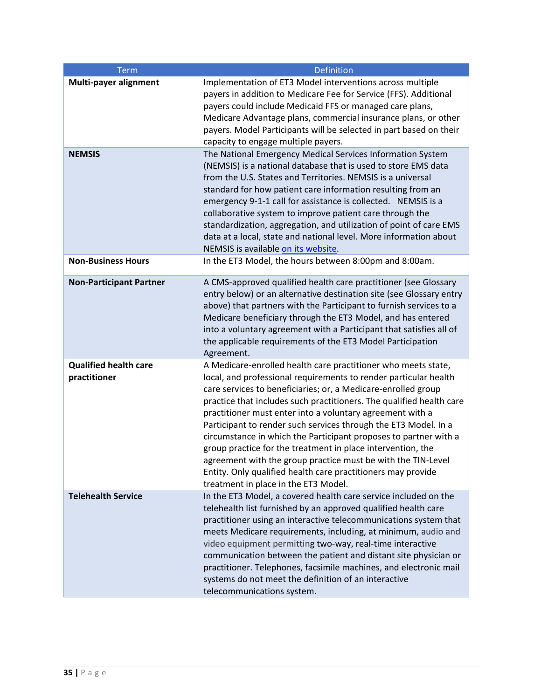| <b>Term</b>                                  | <b>Definition</b>                                                                                                                                                                                                                                                                                                                                                                                                                                                                                                                                                                                                                                                                                                                                                                                                                                                                                              |
|----------------------------------------------|----------------------------------------------------------------------------------------------------------------------------------------------------------------------------------------------------------------------------------------------------------------------------------------------------------------------------------------------------------------------------------------------------------------------------------------------------------------------------------------------------------------------------------------------------------------------------------------------------------------------------------------------------------------------------------------------------------------------------------------------------------------------------------------------------------------------------------------------------------------------------------------------------------------|
| Multi-payer alignment<br><b>NEMSIS</b>       | Implementation of ET3 Model interventions across multiple<br>payers in addition to Medicare Fee for Service (FFS). Additional<br>payers could include Medicaid FFS or managed care plans,<br>Medicare Advantage plans, commercial insurance plans, or other<br>payers. Model Participants will be selected in part based on their<br>capacity to engage multiple payers.<br>The National Emergency Medical Services Information System<br>(NEMSIS) is a national database that is used to store EMS data<br>from the U.S. States and Territories. NEMSIS is a universal<br>standard for how patient care information resulting from an<br>emergency 9-1-1 call for assistance is collected. NEMSIS is a<br>collaborative system to improve patient care through the<br>standardization, aggregation, and utilization of point of care EMS<br>data at a local, state and national level. More information about |
| <b>Non-Business Hours</b>                    | NEMSIS is available on its website.<br>In the ET3 Model, the hours between 8:00pm and 8:00am.                                                                                                                                                                                                                                                                                                                                                                                                                                                                                                                                                                                                                                                                                                                                                                                                                  |
| <b>Non-Participant Partner</b>               | A CMS-approved qualified health care practitioner (see Glossary<br>entry below) or an alternative destination site (see Glossary entry<br>above) that partners with the Participant to furnish services to a<br>Medicare beneficiary through the ET3 Model, and has entered<br>into a voluntary agreement with a Participant that satisfies all of<br>the applicable requirements of the ET3 Model Participation<br>Agreement.                                                                                                                                                                                                                                                                                                                                                                                                                                                                                 |
| <b>Qualified health care</b><br>practitioner | A Medicare-enrolled health care practitioner who meets state,<br>local, and professional requirements to render particular health<br>care services to beneficiaries; or, a Medicare-enrolled group<br>practice that includes such practitioners. The qualified health care<br>practitioner must enter into a voluntary agreement with a<br>Participant to render such services through the ET3 Model. In a<br>circumstance in which the Participant proposes to partner with a<br>group practice for the treatment in place intervention, the<br>agreement with the group practice must be with the TIN-Level<br>Entity. Only qualified health care practitioners may provide<br>treatment in place in the ET3 Model.                                                                                                                                                                                          |
| <b>Telehealth Service</b>                    | In the ET3 Model, a covered health care service included on the<br>telehealth list furnished by an approved qualified health care<br>practitioner using an interactive telecommunications system that<br>meets Medicare requirements, including, at minimum, audio and<br>video equipment permitting two-way, real-time interactive<br>communication between the patient and distant site physician or<br>practitioner. Telephones, facsimile machines, and electronic mail<br>systems do not meet the definition of an interactive<br>telecommunications system.                                                                                                                                                                                                                                                                                                                                              |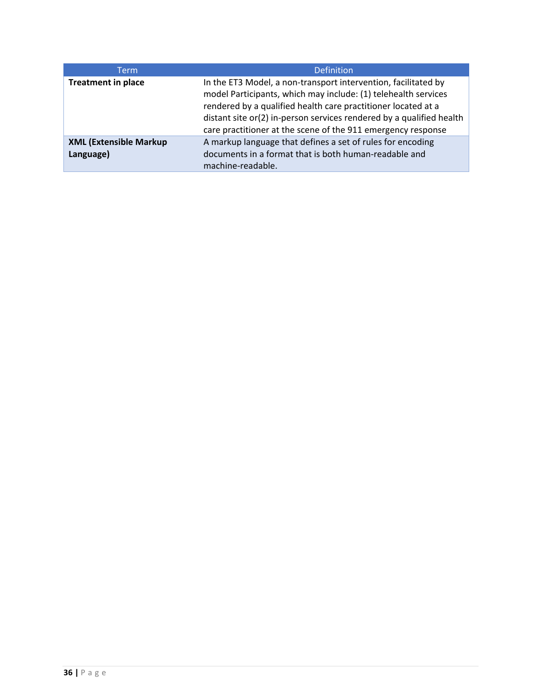| <b>Term</b>                                | Definition                                                                                                                                                                                                                                                                                                                                |
|--------------------------------------------|-------------------------------------------------------------------------------------------------------------------------------------------------------------------------------------------------------------------------------------------------------------------------------------------------------------------------------------------|
| <b>Treatment in place</b>                  | In the ET3 Model, a non-transport intervention, facilitated by<br>model Participants, which may include: (1) telehealth services<br>rendered by a qualified health care practitioner located at a<br>distant site or(2) in-person services rendered by a qualified health<br>care practitioner at the scene of the 911 emergency response |
| <b>XML (Extensible Markup</b><br>Language) | A markup language that defines a set of rules for encoding<br>documents in a format that is both human-readable and<br>machine-readable.                                                                                                                                                                                                  |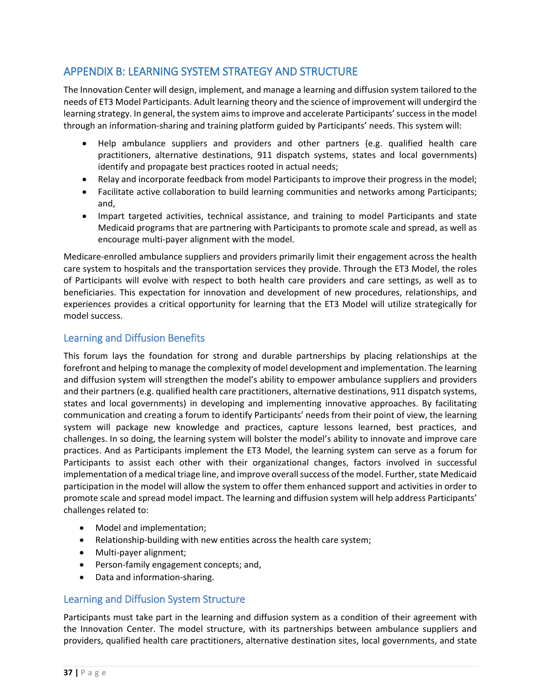# <span id="page-36-0"></span>APPENDIX B: LEARNING SYSTEM STRATEGY AND STRUCTURE

The Innovation Center will design, implement, and manage a learning and diffusion system tailored to the needs of ET3 Model Participants. Adult learning theory and the science of improvement will undergird the learning strategy. In general, the system aims to improve and accelerate Participants' success in the model through an information-sharing and training platform guided by Participants' needs. This system will:

- Help ambulance suppliers and providers and other partners (e.g. qualified health care practitioners, alternative destinations, 911 dispatch systems, states and local governments) identify and propagate best practices rooted in actual needs;
- Relay and incorporate feedback from model Participants to improve their progress in the model;
- Facilitate active collaboration to build learning communities and networks among Participants; and,
- Impart targeted activities, technical assistance, and training to model Participants and state Medicaid programs that are partnering with Participants to promote scale and spread, as well as encourage multi-payer alignment with the model.

Medicare-enrolled ambulance suppliers and providers primarily limit their engagement across the health care system to hospitals and the transportation services they provide. Through the ET3 Model, the roles of Participants will evolve with respect to both health care providers and care settings, as well as to beneficiaries. This expectation for innovation and development of new procedures, relationships, and experiences provides a critical opportunity for learning that the ET3 Model will utilize strategically for model success.

### <span id="page-36-1"></span>Learning and Diffusion Benefits

This forum lays the foundation for strong and durable partnerships by placing relationships at the forefront and helping to manage the complexity of model development and implementation. The learning and diffusion system will strengthen the model's ability to empower ambulance suppliers and providers and their partners (e.g. qualified health care practitioners, alternative destinations, 911 dispatch systems, states and local governments) in developing and implementing innovative approaches. By facilitating communication and creating a forum to identify Participants' needs from their point of view, the learning system will package new knowledge and practices, capture lessons learned, best practices, and challenges. In so doing, the learning system will bolster the model's ability to innovate and improve care practices. And as Participants implement the ET3 Model, the learning system can serve as a forum for Participants to assist each other with their organizational changes, factors involved in successful implementation of a medical triage line, and improve overall success of the model. Further, state Medicaid participation in the model will allow the system to offer them enhanced support and activities in order to promote scale and spread model impact. The learning and diffusion system will help address Participants' challenges related to:

- Model and implementation;
- Relationship-building with new entities across the health care system;
- Multi-payer alignment;
- Person-family engagement concepts; and,
- Data and information-sharing.

### <span id="page-36-2"></span>Learning and Diffusion System Structure

Participants must take part in the learning and diffusion system as a condition of their agreement with the Innovation Center. The model structure, with its partnerships between ambulance suppliers and providers, qualified health care practitioners, alternative destination sites, local governments, and state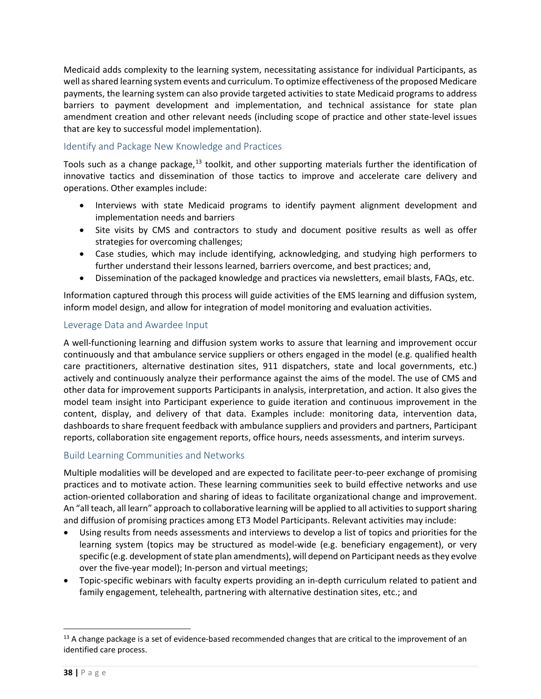Medicaid adds complexity to the learning system, necessitating assistance for individual Participants, as well as shared learning system events and curriculum. To optimize effectiveness of the proposed Medicare payments, the learning system can also provide targeted activities to state Medicaid programs to address barriers to payment development and implementation, and technical assistance for state plan amendment creation and other relevant needs (including scope of practice and other state-level issues that are key to successful model implementation).

### <span id="page-37-0"></span>Identify and Package New Knowledge and Practices

Tools such as a change package,<sup>[13](#page-37-3)</sup> toolkit, and other supporting materials further the identification of innovative tactics and dissemination of those tactics to improve and accelerate care delivery and operations. Other examples include:

- Interviews with state Medicaid programs to identify payment alignment development and implementation needs and barriers
- Site visits by CMS and contractors to study and document positive results as well as offer strategies for overcoming challenges;
- Case studies, which may include identifying, acknowledging, and studying high performers to further understand their lessons learned, barriers overcome, and best practices; and,
- Dissemination of the packaged knowledge and practices via newsletters, email blasts, FAQs, etc.

Information captured through this process will guide activities of the EMS learning and diffusion system, inform model design, and allow for integration of model monitoring and evaluation activities.

#### <span id="page-37-1"></span>Leverage Data and Awardee Input

A well-functioning learning and diffusion system works to assure that learning and improvement occur continuously and that ambulance service suppliers or others engaged in the model (e.g. qualified health care practitioners, alternative destination sites, 911 dispatchers, state and local governments, etc.) actively and continuously analyze their performance against the aims of the model. The use of CMS and other data for improvement supports Participants in analysis, interpretation, and action. It also gives the model team insight into Participant experience to guide iteration and continuous improvement in the content, display, and delivery of that data. Examples include: monitoring data, intervention data, dashboards to share frequent feedback with ambulance suppliers and providers and partners, Participant reports, collaboration site engagement reports, office hours, needs assessments, and interim surveys.

#### <span id="page-37-2"></span>Build Learning Communities and Networks

Multiple modalities will be developed and are expected to facilitate peer-to-peer exchange of promising practices and to motivate action. These learning communities seek to build effective networks and use action-oriented collaboration and sharing of ideas to facilitate organizational change and improvement. An "all teach, all learn" approach to collaborative learning will be applied to all activities to support sharing and diffusion of promising practices among ET3 Model Participants. Relevant activities may include:

- Using results from needs assessments and interviews to develop a list of topics and priorities for the learning system (topics may be structured as model-wide (e.g. beneficiary engagement), or very specific (e.g. development of state plan amendments), will depend on Participant needs as they evolve over the five-year model); In-person and virtual meetings;
- Topic-specific webinars with faculty experts providing an in-depth curriculum related to patient and family engagement, telehealth, partnering with alternative destination sites, etc.; and

l

<span id="page-37-3"></span><sup>&</sup>lt;sup>13</sup> A change package is a set of evidence-based recommended changes that are critical to the improvement of an identified care process.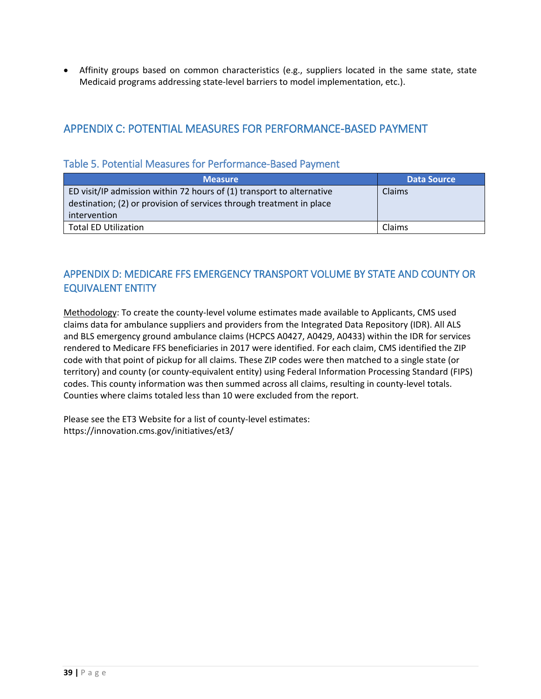• Affinity groups based on common characteristics (e.g., suppliers located in the same state, state Medicaid programs addressing state-level barriers to model implementation, etc.).

# <span id="page-38-0"></span>APPENDIX C: POTENTIAL MEASURES FOR PERFORMANCE-BASED PAYMENT

### <span id="page-38-1"></span>Table 5. Potential Measures for Performance-Based Payment

| <b>Measure</b>                                                                                                                                                | Data Source   |
|---------------------------------------------------------------------------------------------------------------------------------------------------------------|---------------|
| ED visit/IP admission within 72 hours of (1) transport to alternative<br>destination; (2) or provision of services through treatment in place<br>intervention | <b>Claims</b> |
| <b>Total ED Utilization</b>                                                                                                                                   | Claims        |

# <span id="page-38-2"></span>APPENDIX D: MEDICARE FFS EMERGENCY TRANSPORT VOLUME BY STATE AND COUNTY OR EQUIVALENT ENTITY

Methodology: To create the county-level volume estimates made available to Applicants, CMS used claims data for ambulance suppliers and providers from the Integrated Data Repository (IDR). All ALS and BLS emergency ground ambulance claims (HCPCS A0427, A0429, A0433) within the IDR for services rendered to Medicare FFS beneficiaries in 2017 were identified. For each claim, CMS identified the ZIP code with that point of pickup for all claims. These ZIP codes were then matched to a single state (or territory) and county (or county-equivalent entity) using Federal Information Processing Standard (FIPS) codes. This county information was then summed across all claims, resulting in county-level totals. Counties where claims totaled less than 10 were excluded from the report.

Please see the ET3 Website for a list of county-level estimates: https://innovation.cms.gov/initiatives/et3/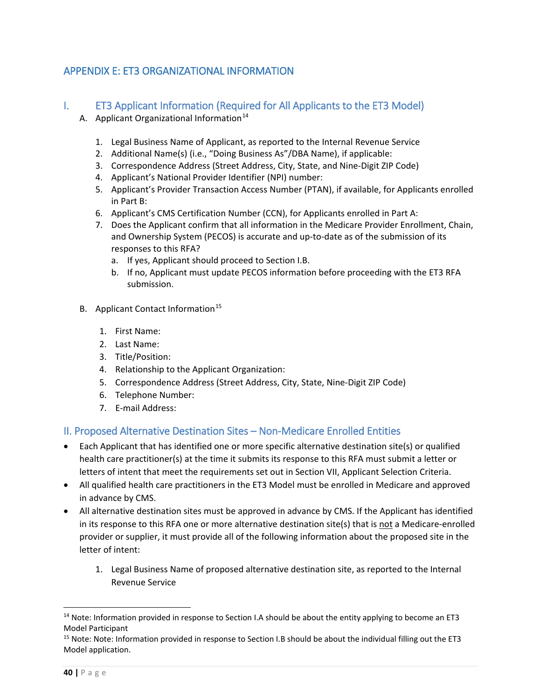# <span id="page-39-0"></span>APPENDIX E: ET3 ORGANIZATIONAL INFORMATION

# <span id="page-39-1"></span>I. ET3 Applicant Information (Required for All Applicants to the ET3 Model)

- A. Applicant Organizational Information $14$ 
	- 1. Legal Business Name of Applicant, as reported to the Internal Revenue Service
	- 2. Additional Name(s) (i.e., "Doing Business As"/DBA Name), if applicable:
	- 3. Correspondence Address (Street Address, City, State, and Nine-Digit ZIP Code)
	- 4. Applicant's National Provider Identifier (NPI) number:
	- 5. Applicant's Provider Transaction Access Number (PTAN), if available, for Applicants enrolled in Part B:
	- 6. Applicant's CMS Certification Number (CCN), for Applicants enrolled in Part A:
	- 7. Does the Applicant confirm that all information in the Medicare Provider Enrollment, Chain, and Ownership System (PECOS) is accurate and up-to-date as of the submission of its responses to this RFA?
		- a. If yes, Applicant should proceed to Section I.B.
		- b. If no, Applicant must update PECOS information before proceeding with the ET3 RFA submission.
- B. Applicant Contact Information<sup>[15](#page-39-4)</sup>
	- 1. First Name:
	- 2. Last Name:
	- 3. Title/Position:
	- 4. Relationship to the Applicant Organization:
	- 5. Correspondence Address (Street Address, City, State, Nine-Digit ZIP Code)
	- 6. Telephone Number:
	- 7. E-mail Address:

# <span id="page-39-2"></span>II. Proposed Alternative Destination Sites – Non-Medicare Enrolled Entities

- Each Applicant that has identified one or more specific alternative destination site(s) or qualified health care practitioner(s) at the time it submits its response to this RFA must submit a letter or letters of intent that meet the requirements set out in Section VII, Applicant Selection Criteria.
- All qualified health care practitioners in the ET3 Model must be enrolled in Medicare and approved in advance by CMS.
- All alternative destination sites must be approved in advance by CMS. If the Applicant has identified in its response to this RFA one or more alternative destination site(s) that is not a Medicare-enrolled provider or supplier, it must provide all of the following information about the proposed site in the letter of intent:
	- 1. Legal Business Name of proposed alternative destination site, as reported to the Internal Revenue Service

l

<span id="page-39-3"></span> $14$  Note: Information provided in response to Section I.A should be about the entity applying to become an ET3 Model Participant

<span id="page-39-4"></span><sup>&</sup>lt;sup>15</sup> Note: Note: Information provided in response to Section I.B should be about the individual filling out the ET3 Model application.